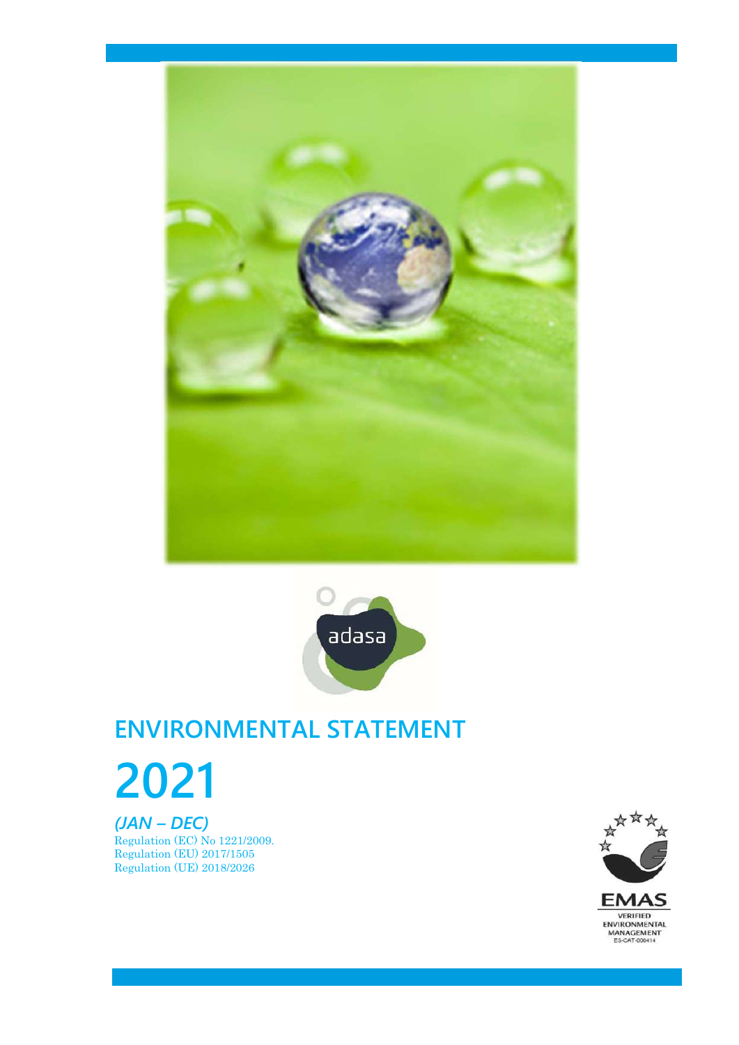



# ENVIRONMENTAL STATEMENT

2021

i<br>L

(JAN – DEC) Regulation (EC) No 1221/2009. Regulation (EU) 2017/1505 Regulation (UE) 2018/2026

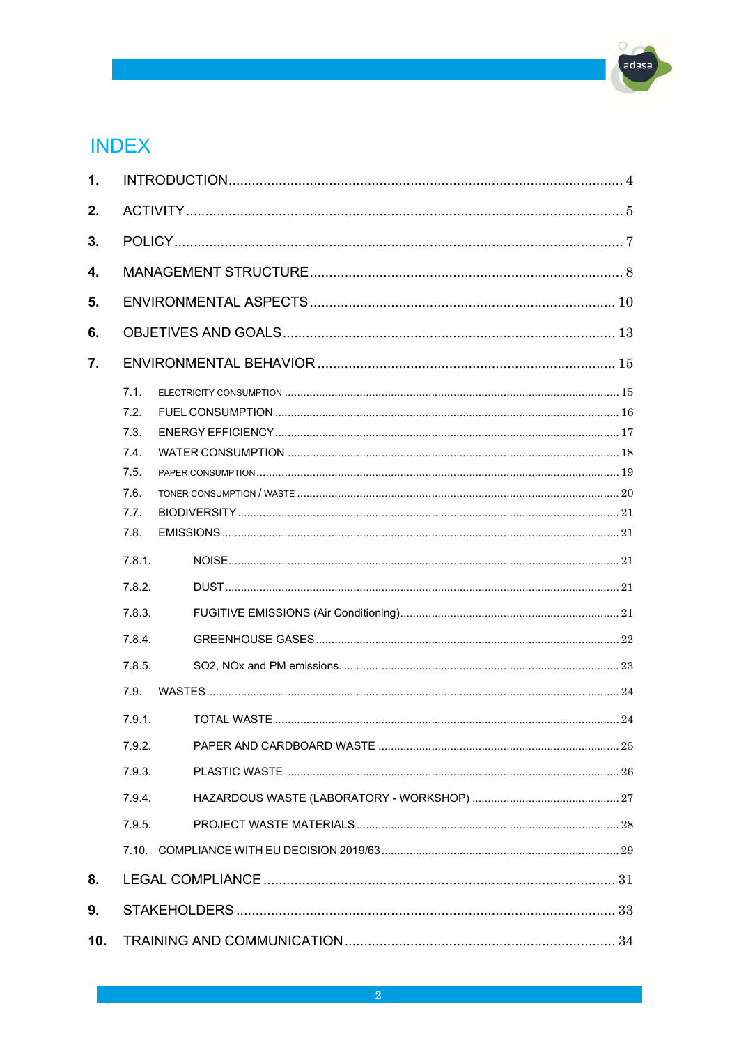# **INDEX**

| 1.              |                                                                                            |  |
|-----------------|--------------------------------------------------------------------------------------------|--|
| 2.              |                                                                                            |  |
| 3.              |                                                                                            |  |
| 4.              |                                                                                            |  |
| 5.              |                                                                                            |  |
| 6.              |                                                                                            |  |
| 7.              |                                                                                            |  |
|                 | 7.1.<br>7.2.<br>7.3.<br>7.4.<br>7.5.<br>7.6.<br>7.7.<br>7.8.<br>7.8.1.<br>7.8.2.<br>7.8.3. |  |
|                 | 7.8.4.                                                                                     |  |
|                 | 7.8.5.                                                                                     |  |
|                 | 7.9.                                                                                       |  |
|                 | 7.9.1.                                                                                     |  |
|                 | 7.9.2.                                                                                     |  |
|                 | 7.9.3.                                                                                     |  |
|                 | 7.9.4.                                                                                     |  |
|                 | 7.9.5.                                                                                     |  |
|                 |                                                                                            |  |
| 8.              |                                                                                            |  |
| 9.              |                                                                                            |  |
| 10 <sub>1</sub> |                                                                                            |  |

 $\circ$ adasa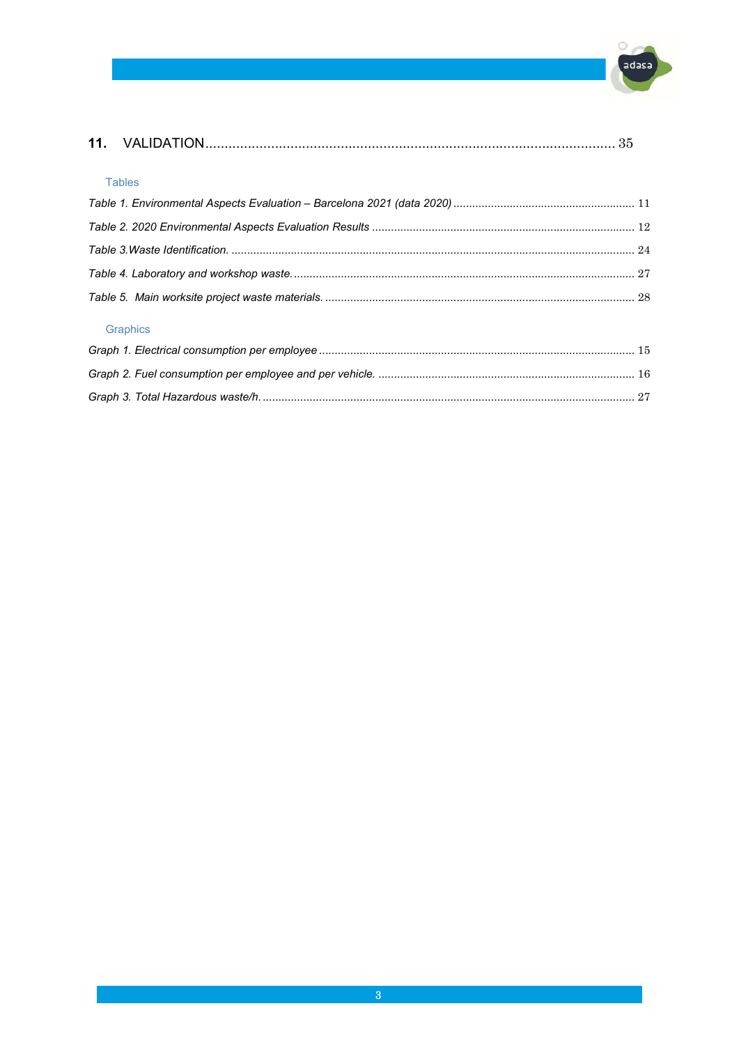

#### Graphics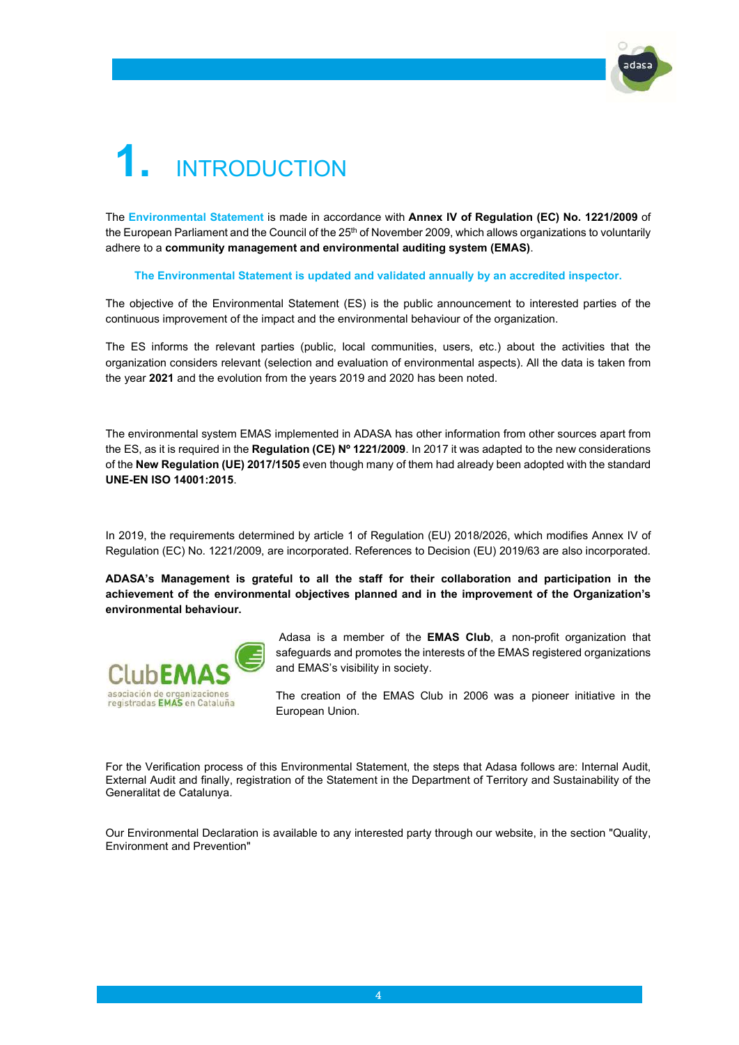

# **INTRODUCTION**

The **Environmental Statement** is made in accordance with Annex IV of Regulation (EC) No. 1221/2009 of the European Parliament and the Council of the 25<sup>th</sup> of November 2009, which allows organizations to voluntarily adhere to a community management and environmental auditing system (EMAS).

The Environmental Statement is updated and validated annually by an accredited inspector.

The objective of the Environmental Statement (ES) is the public announcement to interested parties of the continuous improvement of the impact and the environmental behaviour of the organization.

The ES informs the relevant parties (public, local communities, users, etc.) about the activities that the organization considers relevant (selection and evaluation of environmental aspects). All the data is taken from the year 2021 and the evolution from the years 2019 and 2020 has been noted.

The environmental system EMAS implemented in ADASA has other information from other sources apart from the ES, as it is required in the Regulation (CE) Nº 1221/2009. In 2017 it was adapted to the new considerations of the New Regulation (UE) 2017/1505 even though many of them had already been adopted with the standard UNE-EN ISO 14001:2015.

In 2019, the requirements determined by article 1 of Regulation (EU) 2018/2026, which modifies Annex IV of Regulation (EC) No. 1221/2009, are incorporated. References to Decision (EU) 2019/63 are also incorporated.

ADASA's Management is grateful to all the staff for their collaboration and participation in the achievement of the environmental objectives planned and in the improvement of the Organization's environmental behaviour.



Adasa is a member of the **EMAS Club**, a non-profit organization that safeguards and promotes the interests of the EMAS registered organizations and EMAS's visibility in society.

The creation of the EMAS Club in 2006 was a pioneer initiative in the European Union.

For the Verification process of this Environmental Statement, the steps that Adasa follows are: Internal Audit, External Audit and finally, registration of the Statement in the Department of Territory and Sustainability of the Generalitat de Catalunya.

Our Environmental Declaration is available to any interested party through our website, in the section "Quality, Environment and Prevention"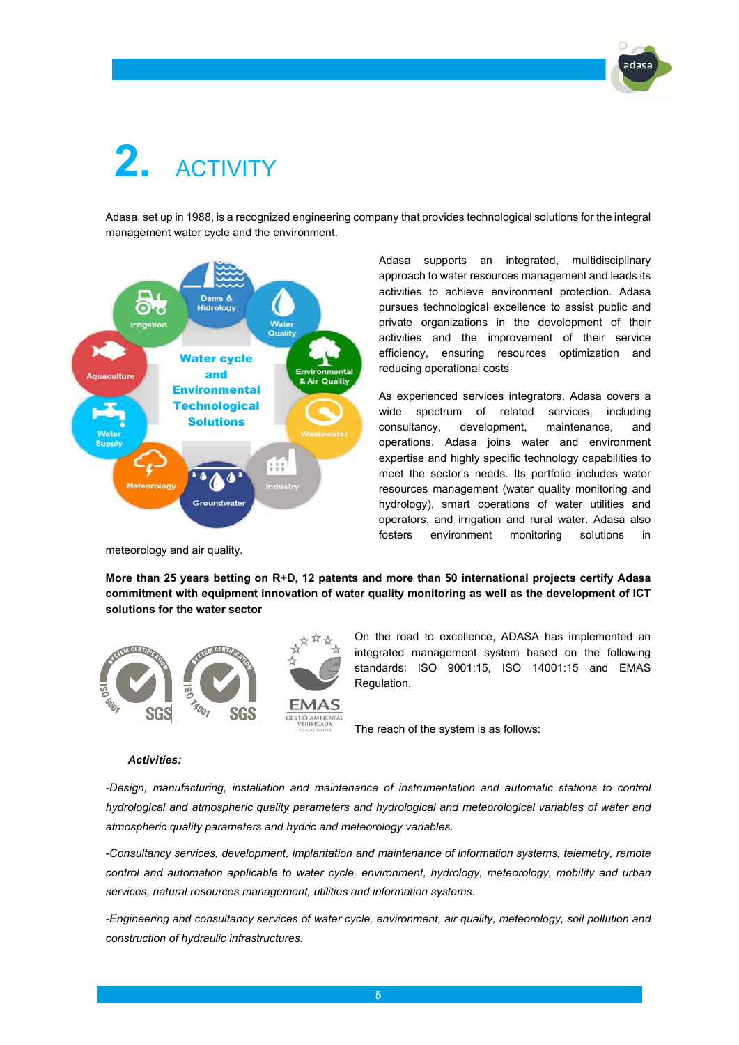

# **ACTIVITY**

Adasa, set up in 1988, is a recognized engineering company that provides technological solutions for the integral management water cycle and the environment.



meteorology and air quality.

Adasa supports an integrated, multidisciplinary approach to water resources management and leads its activities to achieve environment protection. Adasa pursues technological excellence to assist public and private organizations in the development of their activities and the improvement of their service efficiency, ensuring resources optimization and reducing operational costs

As experienced services integrators, Adasa covers a wide spectrum of related services, including consultancy, development, maintenance, and operations. Adasa joins water and environment expertise and highly specific technology capabilities to meet the sector's needs. Its portfolio includes water resources management (water quality monitoring and hydrology), smart operations of water utilities and operators, and irrigation and rural water. Adasa also fosters environment monitoring solutions in

More than 25 years betting on R+D, 12 patents and more than 50 international projects certify Adasa commitment with equipment innovation of water quality monitoring as well as the development of ICT solutions for the water sector



On the road to excellence, ADASA has implemented an integrated management system based on the following standards: ISO 9001:15, ISO 14001:15 and EMAS Regulation.

The reach of the system is as follows:

#### Activities:

-Design, manufacturing, installation and maintenance of instrumentation and automatic stations to control hydrological and atmospheric quality parameters and hydrological and meteorological variables of water and atmospheric quality parameters and hydric and meteorology variables.

-Consultancy services, development, implantation and maintenance of information systems, telemetry, remote control and automation applicable to water cycle, environment, hydrology, meteorology, mobility and urban services, natural resources management, utilities and information systems.

-Engineering and consultancy services of water cycle, environment, air quality, meteorology, soil pollution and construction of hydraulic infrastructures.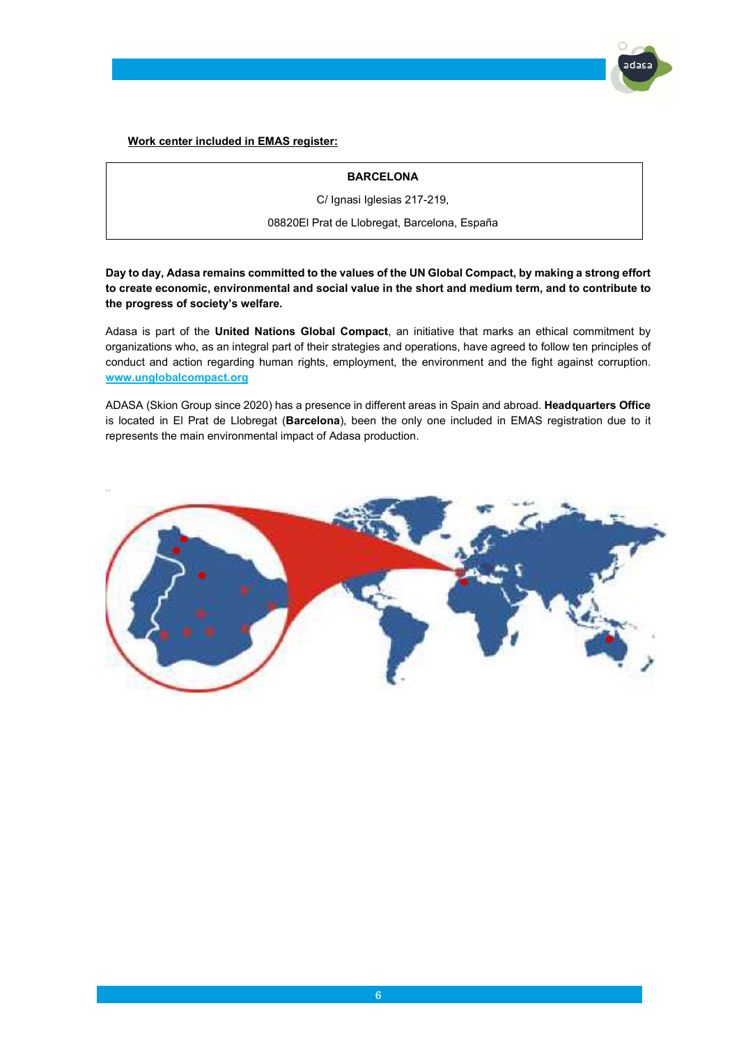

#### BARCELONA

C/ Ignasi Iglesias 217-219,

08820El Prat de Llobregat, Barcelona, España

Day to day, Adasa remains committed to the values of the UN Global Compact, by making a strong effort to create economic, environmental and social value in the short and medium term, and to contribute to the progress of society's welfare.

Adasa is part of the United Nations Global Compact, an initiative that marks an ethical commitment by organizations who, as an integral part of their strategies and operations, have agreed to follow ten principles of conduct and action regarding human rights, employment, the environment and the fight against corruption. www.unglobalcompact.org

ADASA (Skion Group since 2020) has a presence in different areas in Spain and abroad. Headquarters Office is located in El Prat de Llobregat (Barcelona), been the only one included in EMAS registration due to it represents the main environmental impact of Adasa production.

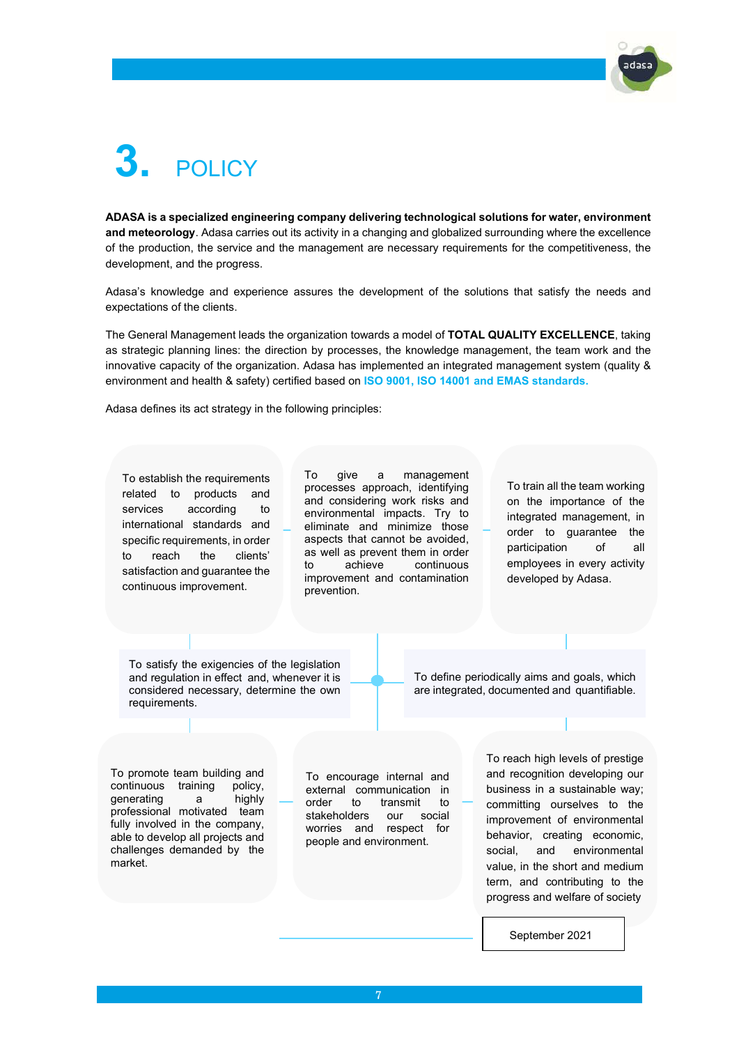

# POLICY

ADASA is a specialized engineering company delivering technological solutions for water, environment and meteorology. Adasa carries out its activity in a changing and globalized surrounding where the excellence of the production, the service and the management are necessary requirements for the competitiveness, the development, and the progress.

Adasa's knowledge and experience assures the development of the solutions that satisfy the needs and expectations of the clients.

The General Management leads the organization towards a model of TOTAL QUALITY EXCELLENCE, taking as strategic planning lines: the direction by processes, the knowledge management, the team work and the innovative capacity of the organization. Adasa has implemented an integrated management system (quality & environment and health & safety) certified based on ISO 9001, ISO 14001 and EMAS standards.

Adasa defines its act strategy in the following principles:

related to products and services according to international standards and specific requirements, in order to reach the clients' to reach the clients' control to reach the control of the control of the control of the control of the control of the control of the control of the control of the control of the control of the control of the control of the satisfaction and guarantee the satisfaction and guarantee the continuous improvement. continuous improvement. To establish the requirements

To give a management processes approach, identifying and considering work risks and environmental impacts. Try to eliminate and minimize those aspects that cannot be avoided, as well as prevent them in order to achieve continuous improvement and contamination prevention.

on the importance of the integrated management, in order to guarantee the participation of all employees in every activity developed by Adasa. To train all the team working

developed by Adasa.

To satisfy the exigencies of the legislation and regulation in effect and, whenever it is considered necessary, determine the own requirements.

To define periodically aims and goals, which are integrated, documented and quantifiable.

To promote team building and continuous training policy, generating a highly professional motivated team fully involved in the company, able to develop all projects and challenges demanded by the market.

To encourage internal and external communication in order to transmit to stakeholders our social worries and respect for people and environment.

To reach high levels of prestige and recognition developing our business in a sustainable way; committing ourselves to the improvement of environmental behavior, creating economic, social, and environmental value, in the short and medium term, and contributing to the progress and welfare of society

September 2021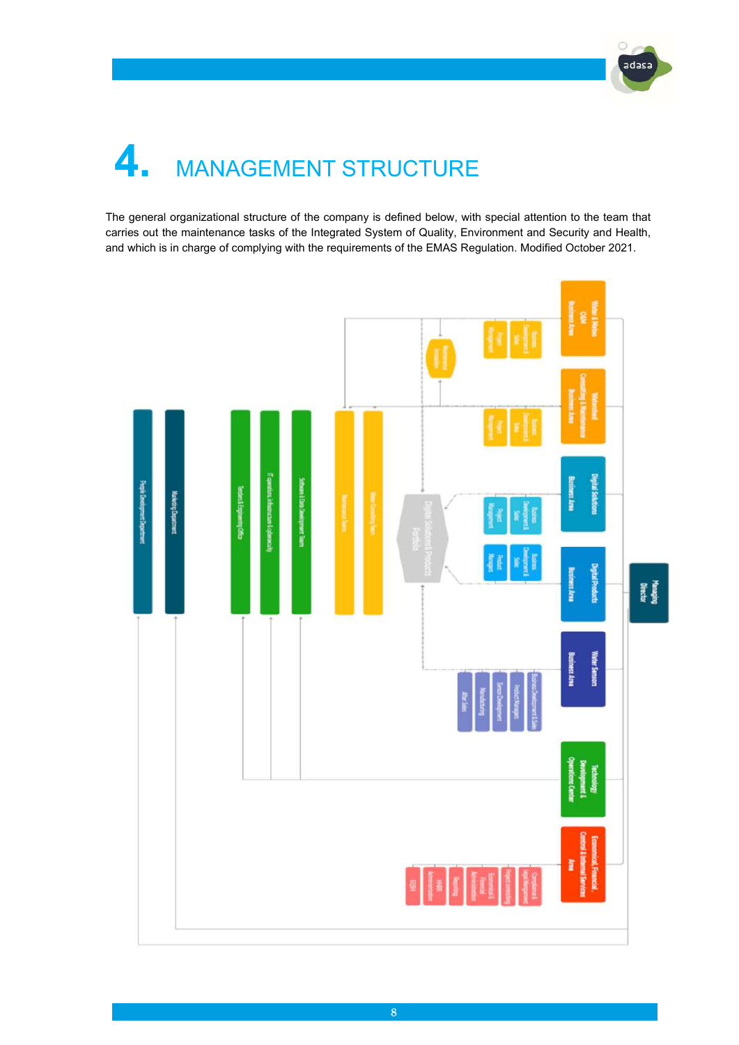

# 4. MANAGEMENT STRUCTURE

The general organizational structure of the company is defined below, with special attention to the team that carries out the maintenance tasks of the Integrated System of Quality, Environment and Security and Health, and which is in charge of complying with the requirements of the EMAS Regulation. Modified October 2021.

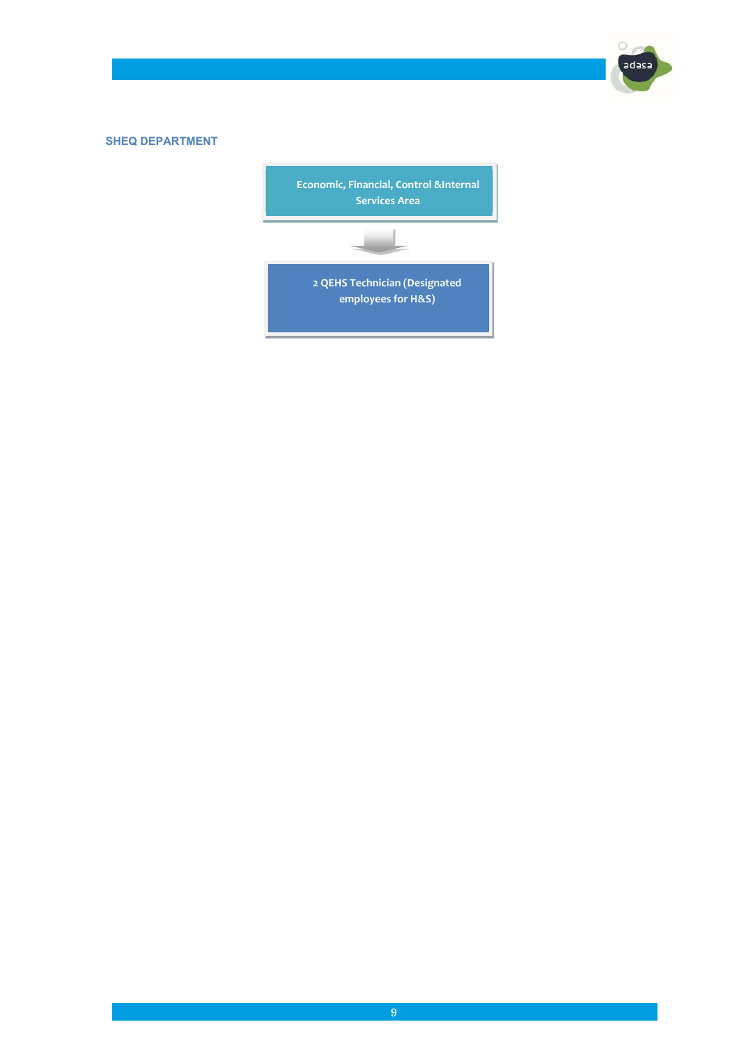#### SHEQ DEPARTMENT



 $\circ$ adasa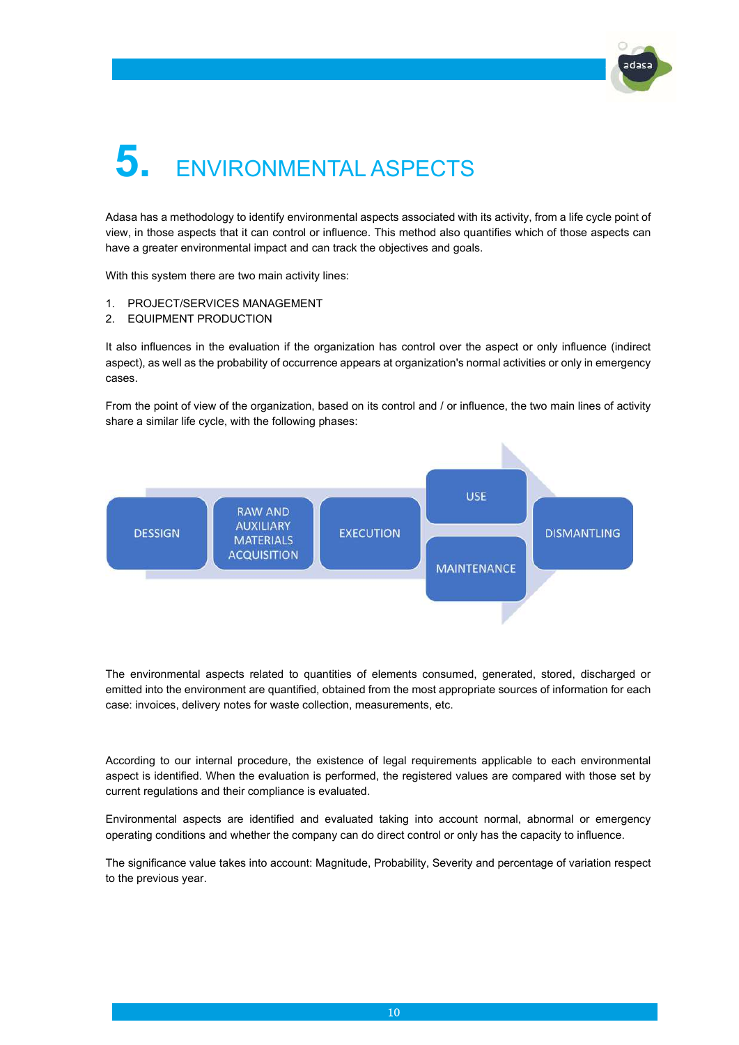# 5. ENVIRONMENTAL ASPECTS

Adasa has a methodology to identify environmental aspects associated with its activity, from a life cycle point of view, in those aspects that it can control or influence. This method also quantifies which of those aspects can have a greater environmental impact and can track the objectives and goals.

With this system there are two main activity lines:

- 1. PROJECT/SERVICES MANAGEMENT
- 2. EQUIPMENT PRODUCTION

It also influences in the evaluation if the organization has control over the aspect or only influence (indirect aspect), as well as the probability of occurrence appears at organization's normal activities or only in emergency cases.

From the point of view of the organization, based on its control and / or influence, the two main lines of activity share a similar life cycle, with the following phases:



The environmental aspects related to quantities of elements consumed, generated, stored, discharged or emitted into the environment are quantified, obtained from the most appropriate sources of information for each case: invoices, delivery notes for waste collection, measurements, etc.

According to our internal procedure, the existence of legal requirements applicable to each environmental aspect is identified. When the evaluation is performed, the registered values are compared with those set by current regulations and their compliance is evaluated.

Environmental aspects are identified and evaluated taking into account normal, abnormal or emergency operating conditions and whether the company can do direct control or only has the capacity to influence.

The significance value takes into account: Magnitude, Probability, Severity and percentage of variation respect to the previous year.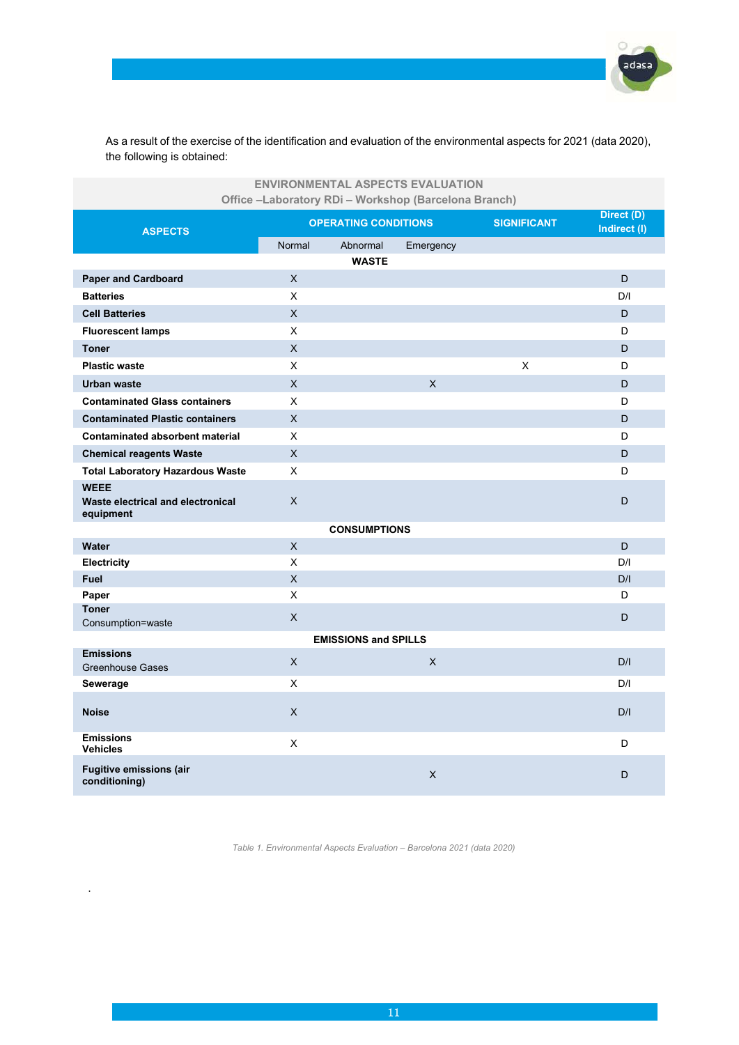

As a result of the exercise of the identification and evaluation of the environmental aspects for 2021 (data 2020), the following is obtained:

| <b>ENVIRONMENTAL ASPECTS EVALUATION</b><br>Office -Laboratory RDi - Workshop (Barcelona Branch) |                             |                     |                    |                            |     |
|-------------------------------------------------------------------------------------------------|-----------------------------|---------------------|--------------------|----------------------------|-----|
| <b>ASPECTS</b>                                                                                  | <b>OPERATING CONDITIONS</b> |                     | <b>SIGNIFICANT</b> | Direct (D)<br>Indirect (I) |     |
|                                                                                                 | Normal                      | Abnormal            | Emergency          |                            |     |
|                                                                                                 |                             | <b>WASTE</b>        |                    |                            |     |
| <b>Paper and Cardboard</b>                                                                      | $\mathsf{X}$                |                     |                    |                            | D   |
| <b>Batteries</b>                                                                                | X                           |                     |                    |                            | D/I |
| <b>Cell Batteries</b>                                                                           | X.                          |                     |                    |                            | D   |
| <b>Fluorescent lamps</b>                                                                        | X                           |                     |                    |                            | D   |
| <b>Toner</b>                                                                                    | X.                          |                     |                    |                            | D   |
| <b>Plastic waste</b>                                                                            | X                           |                     |                    | $\pmb{\times}$             | D   |
| Urban waste                                                                                     | X.                          |                     | X                  |                            | D   |
| <b>Contaminated Glass containers</b>                                                            | X                           |                     |                    |                            | D   |
| <b>Contaminated Plastic containers</b>                                                          | $\mathsf{X}$                |                     |                    |                            | D   |
| <b>Contaminated absorbent material</b>                                                          | X                           |                     |                    |                            | D   |
| <b>Chemical reagents Waste</b>                                                                  | $\mathsf{X}$                |                     |                    |                            | D.  |
| <b>Total Laboratory Hazardous Waste</b>                                                         | X.                          |                     |                    |                            | D.  |
| <b>WEEE</b><br>Waste electrical and electronical<br>equipment                                   | $\mathsf{X}% _{0}$          |                     |                    |                            | D   |
|                                                                                                 |                             | <b>CONSUMPTIONS</b> |                    |                            |     |
| <b>Water</b>                                                                                    | $\mathsf{X}$                |                     |                    |                            | D   |
| <b>Electricity</b>                                                                              | X                           |                     |                    |                            | D/I |
| Fuel                                                                                            | $\mathsf{x}$                |                     |                    |                            | D/I |
| Paper                                                                                           | X                           |                     |                    |                            | D   |
| <b>Toner</b><br>Consumption=waste                                                               | X.                          |                     |                    |                            | D.  |
| <b>EMISSIONS and SPILLS</b>                                                                     |                             |                     |                    |                            |     |
| <b>Emissions</b><br><b>Greenhouse Gases</b>                                                     | X.                          |                     | $\times$           |                            | D/I |
| Sewerage                                                                                        | X                           |                     |                    |                            | D/I |
| <b>Noise</b>                                                                                    | X.                          |                     |                    |                            | D/I |
| <b>Emissions</b><br><b>Vehicles</b>                                                             | X                           |                     |                    |                            | D   |
| <b>Fugitive emissions (air</b><br>conditioning)                                                 |                             |                     | X                  |                            | D   |

Table 1. Environmental Aspects Evaluation – Barcelona 2021 (data 2020)

.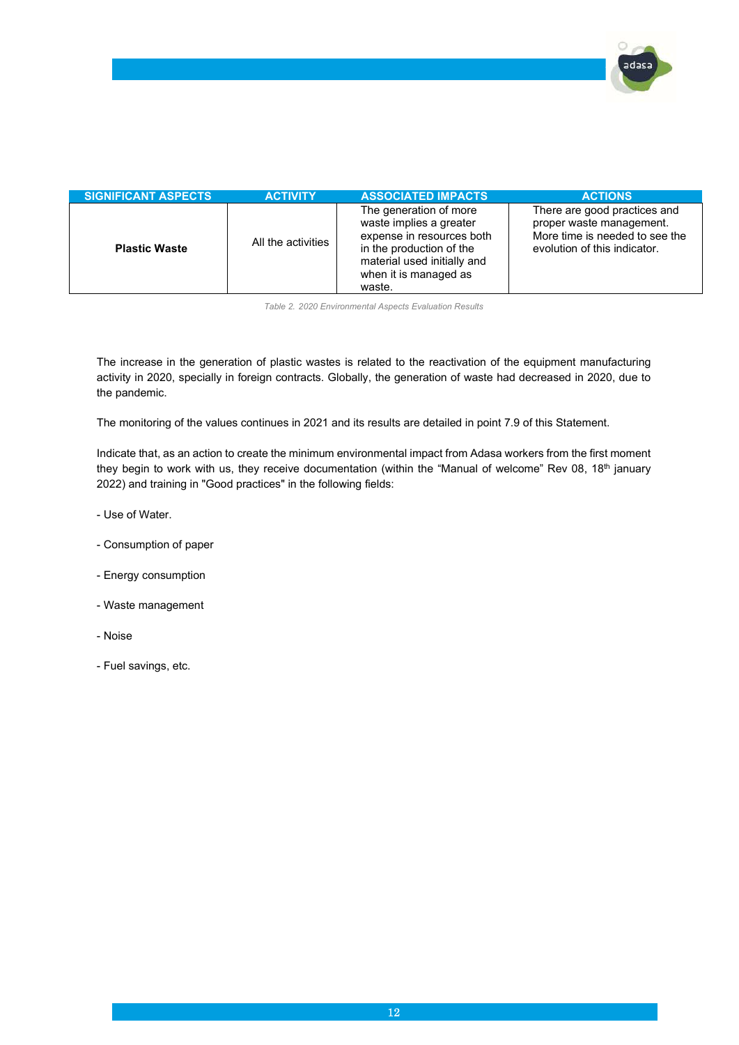| <b>SIGNIFICANT ASPECTS</b> | <b>ACTIVITY</b>    | <b>ASSOCIATED IMPACTS</b>                                                                                                                                                    | <b>ACTIONS</b>                                                                                                             |
|----------------------------|--------------------|------------------------------------------------------------------------------------------------------------------------------------------------------------------------------|----------------------------------------------------------------------------------------------------------------------------|
| <b>Plastic Waste</b>       | All the activities | The generation of more<br>waste implies a greater<br>expense in resources both<br>in the production of the<br>material used initially and<br>when it is managed as<br>waste. | There are good practices and<br>proper waste management.<br>More time is needed to see the<br>evolution of this indicator. |

Table 2. 2020 Environmental Aspects Evaluation Results

The increase in the generation of plastic wastes is related to the reactivation of the equipment manufacturing activity in 2020, specially in foreign contracts. Globally, the generation of waste had decreased in 2020, due to the pandemic.

The monitoring of the values continues in 2021 and its results are detailed in point 7.9 of this Statement.

Indicate that, as an action to create the minimum environmental impact from Adasa workers from the first moment they begin to work with us, they receive documentation (within the "Manual of welcome" Rev 08, 18<sup>th</sup> january 2022) and training in "Good practices" in the following fields:

- Use of Water.
- Consumption of paper
- Energy consumption
- Waste management
- Noise
- Fuel savings, etc.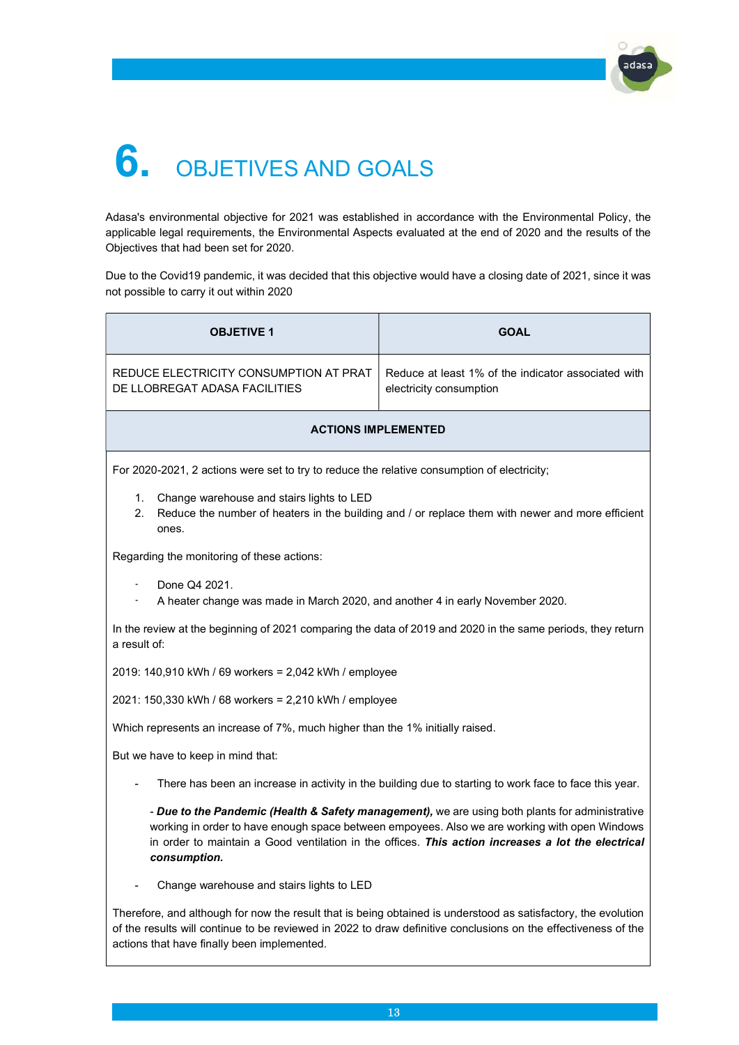

# 6. OBJETIVES AND GOALS

Adasa's environmental objective for 2021 was established in accordance with the Environmental Policy, the applicable legal requirements, the Environmental Aspects evaluated at the end of 2020 and the results of the Objectives that had been set for 2020.

Due to the Covid19 pandemic, it was decided that this objective would have a closing date of 2021, since it was not possible to carry it out within 2020

| <b>OBJETIVE 1</b>                                                                                                                                                                                                                                                                                                      | <b>GOAL</b>                                                                                      |  |  |  |
|------------------------------------------------------------------------------------------------------------------------------------------------------------------------------------------------------------------------------------------------------------------------------------------------------------------------|--------------------------------------------------------------------------------------------------|--|--|--|
| REDUCE ELECTRICITY CONSUMPTION AT PRAT<br>DE LLOBREGAT ADASA FACILITIES                                                                                                                                                                                                                                                | Reduce at least 1% of the indicator associated with<br>electricity consumption                   |  |  |  |
| <b>ACTIONS IMPLEMENTED</b>                                                                                                                                                                                                                                                                                             |                                                                                                  |  |  |  |
| For 2020-2021, 2 actions were set to try to reduce the relative consumption of electricity;                                                                                                                                                                                                                            |                                                                                                  |  |  |  |
| 1.<br>Change warehouse and stairs lights to LED<br>2.<br>ones.                                                                                                                                                                                                                                                         | Reduce the number of heaters in the building and / or replace them with newer and more efficient |  |  |  |
| Regarding the monitoring of these actions:                                                                                                                                                                                                                                                                             |                                                                                                  |  |  |  |
| Done Q4 2021.                                                                                                                                                                                                                                                                                                          | A heater change was made in March 2020, and another 4 in early November 2020.                    |  |  |  |
| In the review at the beginning of 2021 comparing the data of 2019 and 2020 in the same periods, they return<br>a result of:                                                                                                                                                                                            |                                                                                                  |  |  |  |
| 2019: 140,910 kWh / 69 workers = 2,042 kWh / employee                                                                                                                                                                                                                                                                  |                                                                                                  |  |  |  |
| 2021: 150,330 kWh / 68 workers = 2,210 kWh / employee                                                                                                                                                                                                                                                                  |                                                                                                  |  |  |  |
| Which represents an increase of 7%, much higher than the 1% initially raised.                                                                                                                                                                                                                                          |                                                                                                  |  |  |  |
| But we have to keep in mind that:                                                                                                                                                                                                                                                                                      |                                                                                                  |  |  |  |
| There has been an increase in activity in the building due to starting to work face to face this year.                                                                                                                                                                                                                 |                                                                                                  |  |  |  |
| - Due to the Pandemic (Health & Safety management), we are using both plants for administrative<br>working in order to have enough space between empoyees. Also we are working with open Windows<br>in order to maintain a Good ventilation in the offices. This action increases a lot the electrical<br>consumption. |                                                                                                  |  |  |  |
| Change warehouse and stairs lights to LED                                                                                                                                                                                                                                                                              |                                                                                                  |  |  |  |
| Therefore, and although for now the result that is being obtained is understood as satisfactory, the evolution<br>of the results will continue to be reviewed in 2022 to draw definitive conclusions on the effectiveness of the<br>actions that have finally been implemented.                                        |                                                                                                  |  |  |  |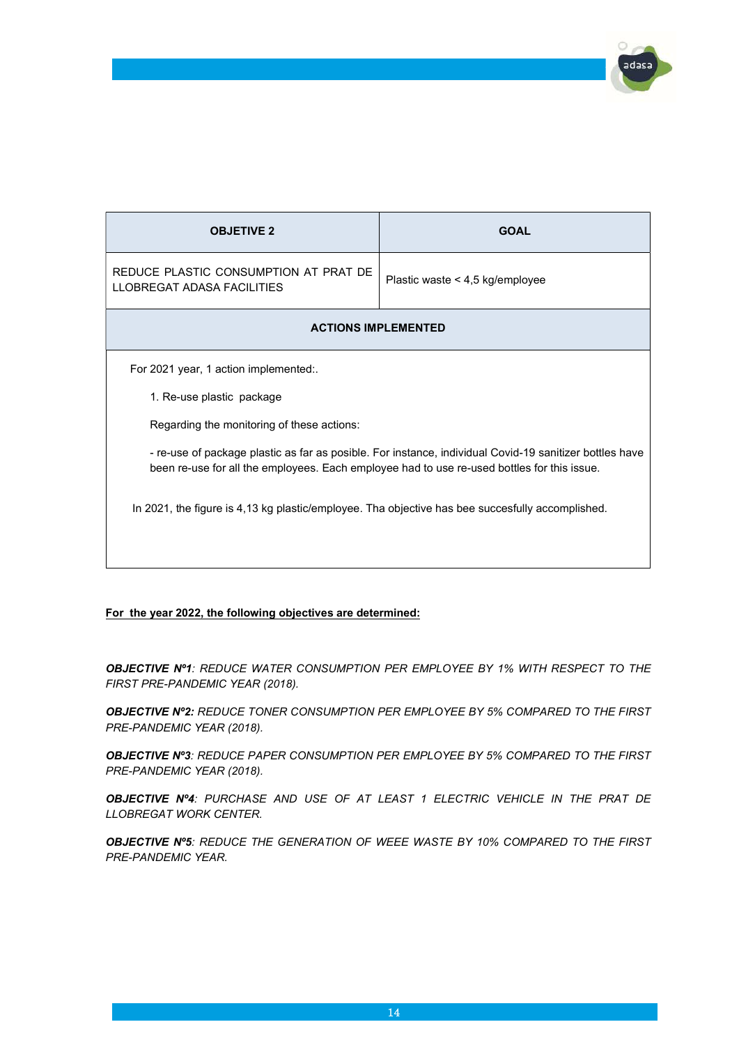| <b>OBJETIVE 2</b>                                                                                                                                                                                      | <b>GOAL</b>                       |  |  |  |
|--------------------------------------------------------------------------------------------------------------------------------------------------------------------------------------------------------|-----------------------------------|--|--|--|
| REDUCE PLASTIC CONSUMPTION AT PRAT DE<br>LLOBREGAT ADASA FACILITIES                                                                                                                                    | Plastic waste $<$ 4,5 kg/employee |  |  |  |
| <b>ACTIONS IMPLEMENTED</b>                                                                                                                                                                             |                                   |  |  |  |
| For 2021 year, 1 action implemented:                                                                                                                                                                   |                                   |  |  |  |
| 1. Re-use plastic package                                                                                                                                                                              |                                   |  |  |  |
| Regarding the monitoring of these actions:                                                                                                                                                             |                                   |  |  |  |
| - re-use of package plastic as far as posible. For instance, individual Covid-19 sanitizer bottles have<br>been re-use for all the employees. Each employee had to use re-used bottles for this issue. |                                   |  |  |  |
| In 2021, the figure is 4,13 kg plastic/employee. Tha objective has bee succesfully accomplished.                                                                                                       |                                   |  |  |  |
|                                                                                                                                                                                                        |                                   |  |  |  |

#### For the year 2022, the following objectives are determined:

OBJECTIVE Nº1: REDUCE WATER CONSUMPTION PER EMPLOYEE BY 1% WITH RESPECT TO THE FIRST PRE-PANDEMIC YEAR (2018).

OBJECTIVE N°2: REDUCE TONER CONSUMPTION PER EMPLOYEE BY 5% COMPARED TO THE FIRST PRE-PANDEMIC YEAR (2018).

OBJECTIVE Nº3: REDUCE PAPER CONSUMPTION PER EMPLOYEE BY 5% COMPARED TO THE FIRST PRE-PANDEMIC YEAR (2018).

OBJECTIVE Nº4: PURCHASE AND USE OF AT LEAST 1 ELECTRIC VEHICLE IN THE PRAT DE LLOBREGAT WORK CENTER.

OBJECTIVE N°5: REDUCE THE GENERATION OF WEEE WASTE BY 10% COMPARED TO THE FIRST PRE-PANDEMIC YEAR.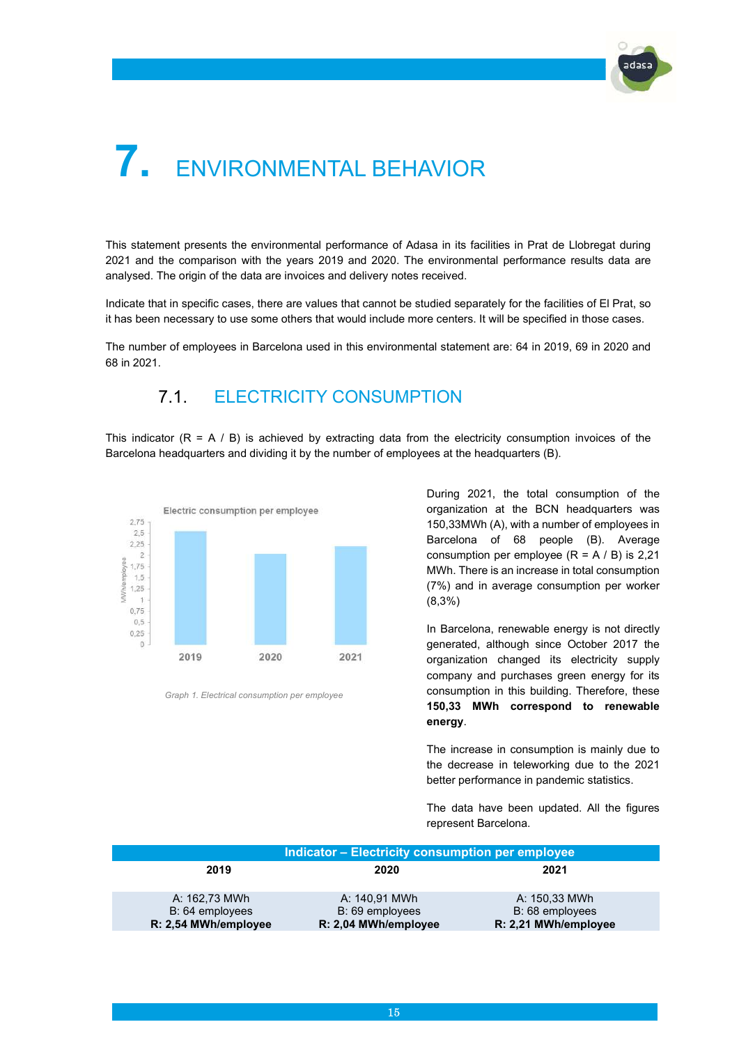# 7. ENVIRONMENTAL BEHAVIOR

This statement presents the environmental performance of Adasa in its facilities in Prat de Llobregat during 2021 and the comparison with the years 2019 and 2020. The environmental performance results data are analysed. The origin of the data are invoices and delivery notes received.

Indicate that in specific cases, there are values that cannot be studied separately for the facilities of El Prat, so it has been necessary to use some others that would include more centers. It will be specified in those cases.

The number of employees in Barcelona used in this environmental statement are: 64 in 2019, 69 in 2020 and 68 in 2021.

### 7.1. ELECTRICITY CONSUMPTION

This indicator  $(R = A / B)$  is achieved by extracting data from the electricity consumption invoices of the Barcelona headquarters and dividing it by the number of employees at the headquarters (B).



Graph 1. Electrical consumption per employee

During 2021, the total consumption of the organization at the BCN headquarters was 150,33MWh (A), with a number of employees in Barcelona of 68 people (B). Average consumption per employee  $(R = A / B)$  is 2,21 MWh. There is an increase in total consumption (7%) and in average consumption per worker (8,3%)

In Barcelona, renewable energy is not directly generated, although since October 2017 the organization changed its electricity supply company and purchases green energy for its consumption in this building. Therefore, these 150,33 MWh correspond to renewable energy.

The increase in consumption is mainly due to the decrease in teleworking due to the 2021 better performance in pandemic statistics.

The data have been updated. All the figures represent Barcelona.

|                      | Indicator – Electricity consumption per employee |                      |  |  |
|----------------------|--------------------------------------------------|----------------------|--|--|
| 2019                 | 2020                                             | 2021                 |  |  |
|                      |                                                  |                      |  |  |
| A: 162,73 MWh        | A: 140,91 MWh                                    | A: 150,33 MWh        |  |  |
| B: 64 employees      | B: 69 employees                                  | B: 68 employees      |  |  |
| R: 2,54 MWh/employee | R: 2,04 MWh/employee                             | R: 2,21 MWh/employee |  |  |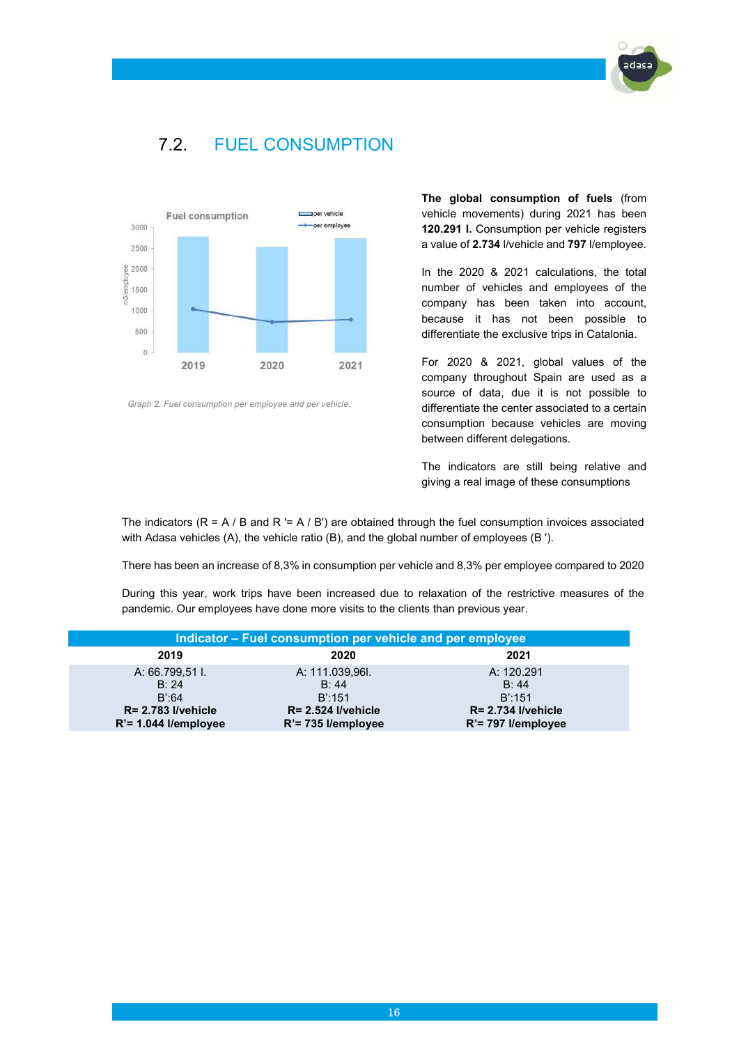## 7.2. FUEL CONSUMPTION



Graph 2. Fuel consumption per employee and per vehicle.

The global consumption of fuels (from vehicle movements) during 2021 has been 120.291 l. Consumption per vehicle registers a value of 2.734 l/vehicle and 797 l/employee.

In the 2020 & 2021 calculations, the total number of vehicles and employees of the company has been taken into account, because it has not been possible to differentiate the exclusive trips in Catalonia.

For 2020 & 2021, global values of the company throughout Spain are used as a source of data, due it is not possible to differentiate the center associated to a certain consumption because vehicles are moving between different delegations.

The indicators are still being relative and giving a real image of these consumptions

The indicators ( $R = A / B$  and  $R = A / B'$ ) are obtained through the fuel consumption invoices associated with Adasa vehicles (A), the vehicle ratio (B), and the global number of employees (B ').

There has been an increase of 8,3% in consumption per vehicle and 8,3% per employee compared to 2020

During this year, work trips have been increased due to relaxation of the restrictive measures of the pandemic. Our employees have done more visits to the clients than previous year.

| Indicator - Fuel consumption per vehicle and per employee                             |                                                                                         |                                                                                    |  |  |
|---------------------------------------------------------------------------------------|-----------------------------------------------------------------------------------------|------------------------------------------------------------------------------------|--|--|
| 2019                                                                                  | 2020                                                                                    | 2021                                                                               |  |  |
| A: 66.799,51 l.<br>B: 24<br>B:64<br><b>R= 2.783 I/vehicle</b><br>R'= 1.044 l/employee | A: 111.039,96I.<br>B: 44<br>B:151<br><b>R= 2.524 I/vehicle</b><br>$R' = 735$ l/employee | A: 120.291<br>B: 44<br>B:151<br><b>R= 2.734 I/vehicle</b><br>$R' = 797$ l/employee |  |  |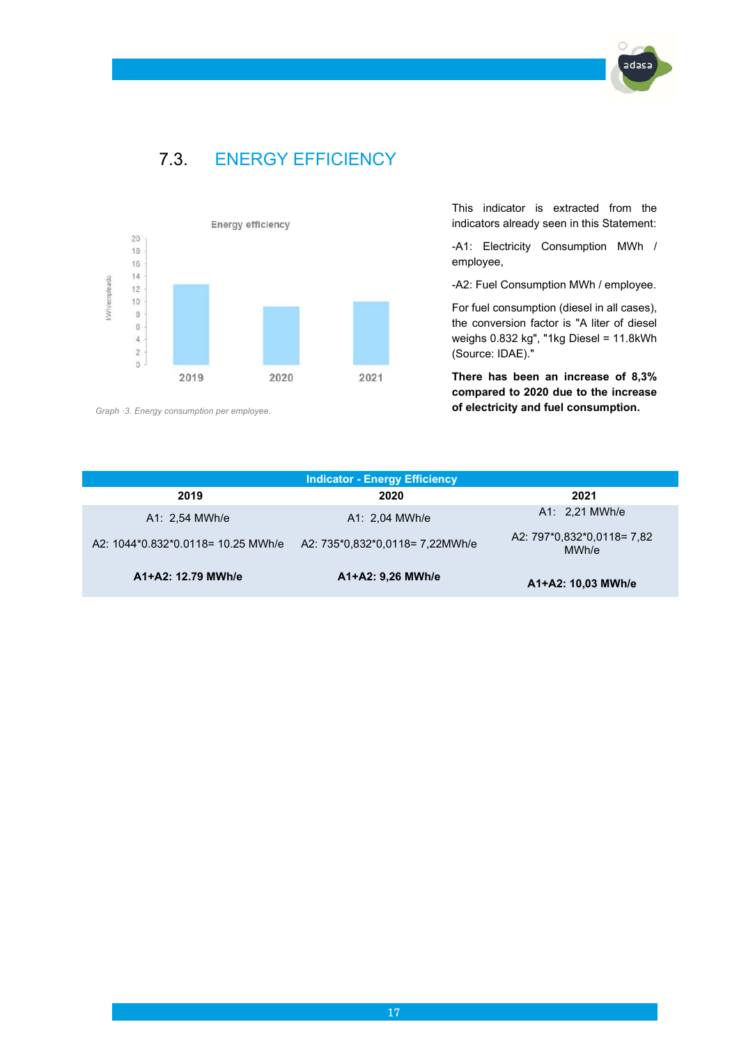## 7.3. ENERGY EFFICIENCY



Graph ·3. Energy consumption per employee.

This indicator is extracted from the indicators already seen in this Statement:

adas

-A1: Electricity Consumption MWh / employee,

-A2: Fuel Consumption MWh / employee.

For fuel consumption (diesel in all cases), the conversion factor is "A liter of diesel weighs 0.832 kg", "1kg Diesel = 11.8kWh (Source: IDAE)."

There has been an increase of 8,3% compared to 2020 due to the increase of electricity and fuel consumption.

| <b>Indicator - Energy Efficiency</b> |                                 |                                     |  |  |  |
|--------------------------------------|---------------------------------|-------------------------------------|--|--|--|
| 2019                                 | 2020                            | 2021                                |  |  |  |
| A1: 2,54 MWh/e                       | A1: 2.04 MWh/e                  | A1: 2,21 MWh/e                      |  |  |  |
| A2: 1044*0.832*0.0118= 10.25 MWh/e   | A2: 735*0,832*0,0118= 7,22MWh/e | A2: 797*0,832*0,0118= 7,82<br>MWh/e |  |  |  |
| A1+A2: 12.79 MWh/e                   | A1+A2: 9,26 MWh/e               | A1+A2: 10,03 MWh/e                  |  |  |  |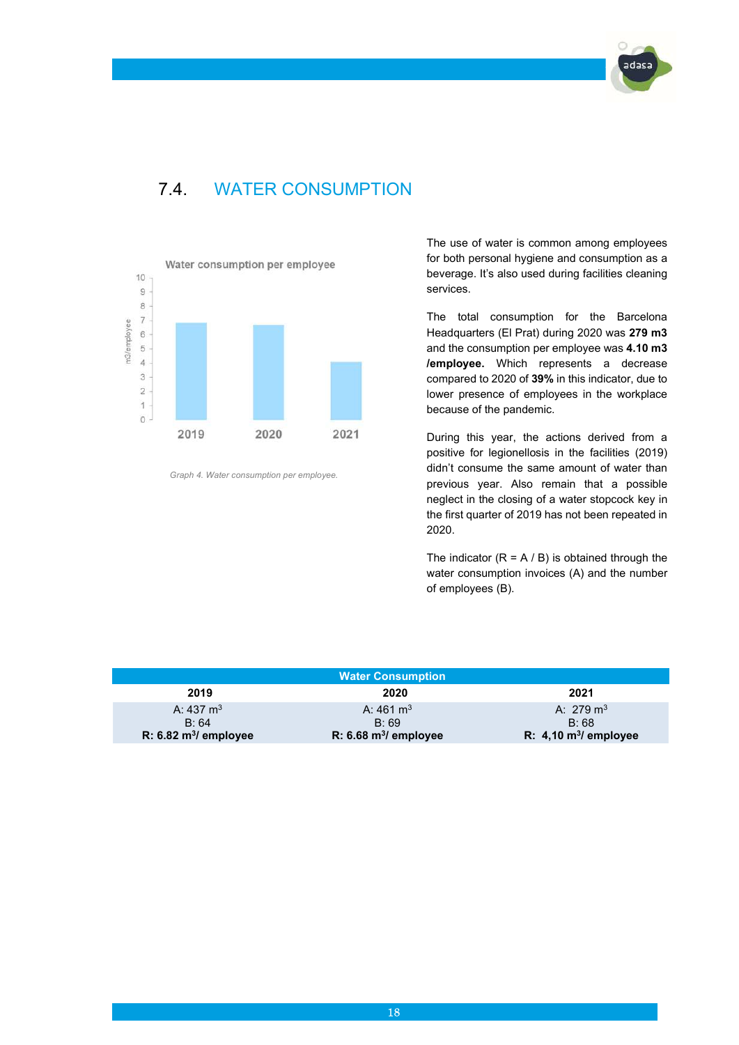

## 7.4. WATER CONSUMPTION



Graph 4. Water consumption per employee.

The use of water is common among employees for both personal hygiene and consumption as a beverage. It's also used during facilities cleaning services.

The total consumption for the Barcelona Headquarters (El Prat) during 2020 was 279 m3 and the consumption per employee was 4.10 m3 /employee. Which represents a decrease compared to 2020 of 39% in this indicator, due to lower presence of employees in the workplace because of the pandemic.

During this year, the actions derived from a positive for legionellosis in the facilities (2019) didn't consume the same amount of water than previous year. Also remain that a possible neglect in the closing of a water stopcock key in the first quarter of 2019 has not been repeated in 2020.

The indicator  $(R = A / B)$  is obtained through the water consumption invoices (A) and the number of employees (B).

| <b>Water Consumption</b>         |                                     |                                |  |  |
|----------------------------------|-------------------------------------|--------------------------------|--|--|
| 2019                             | 2020                                | 2021                           |  |  |
| A: $437 \text{ m}^3$             | A: $461 \text{ m}^3$                | A: $279 \text{ m}^3$           |  |  |
| B: 64                            | B:69                                | B:68                           |  |  |
| R: $6.82 \text{ m}^3$ / employee | R: $6.68$ m <sup>3</sup> / employee | R: $4,10 \text{ m}^3$ employee |  |  |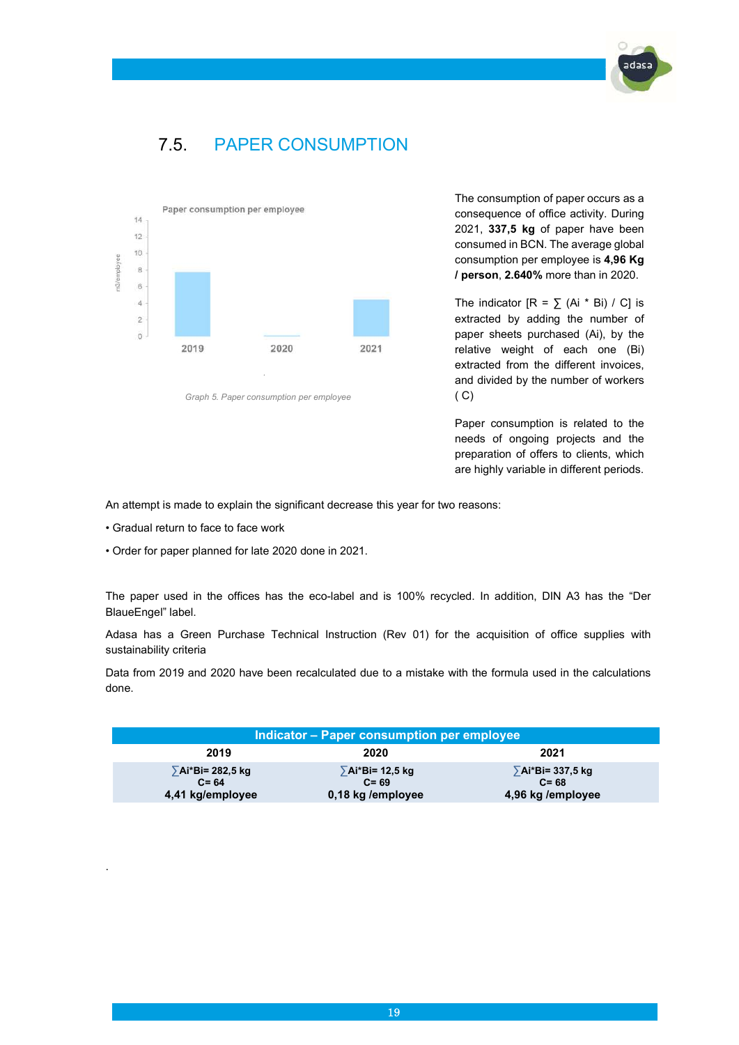### 7.5. PAPER CONSUMPTION



Graph 5. Paper consumption per employee

The consumption of paper occurs as a consequence of office activity. During 2021, 337,5 kg of paper have been consumed in BCN. The average global consumption per employee is 4,96 Kg / person, 2.640% more than in 2020.

The indicator  $[R = \sum (Ai * Bi) / C]$  is extracted by adding the number of paper sheets purchased (Ai), by the relative weight of each one (Bi) extracted from the different invoices, and divided by the number of workers ( C)

Paper consumption is related to the needs of ongoing projects and the preparation of offers to clients, which are highly variable in different periods.

An attempt is made to explain the significant decrease this year for two reasons:

• Gradual return to face to face work

.

• Order for paper planned for late 2020 done in 2021.

The paper used in the offices has the eco-label and is 100% recycled. In addition, DIN A3 has the "Der BlaueEngel" label.

Adasa has a Green Purchase Technical Instruction (Rev 01) for the acquisition of office supplies with sustainability criteria

Data from 2019 and 2020 have been recalculated due to a mistake with the formula used in the calculations done.

| Indicator – Paper consumption per employee       |                                                  |                                                   |  |  |
|--------------------------------------------------|--------------------------------------------------|---------------------------------------------------|--|--|
| 2019                                             | 2020                                             | 2021                                              |  |  |
| ∑Ai*Bi= 282,5 kg<br>$C = 64$<br>4,41 kg/employee | ∑Ai*Bi= 12,5 kg<br>$C = 69$<br>0,18 kg /employee | ∑Ai*Bi= 337,5 kg<br>$C = 68$<br>4,96 kg /employee |  |  |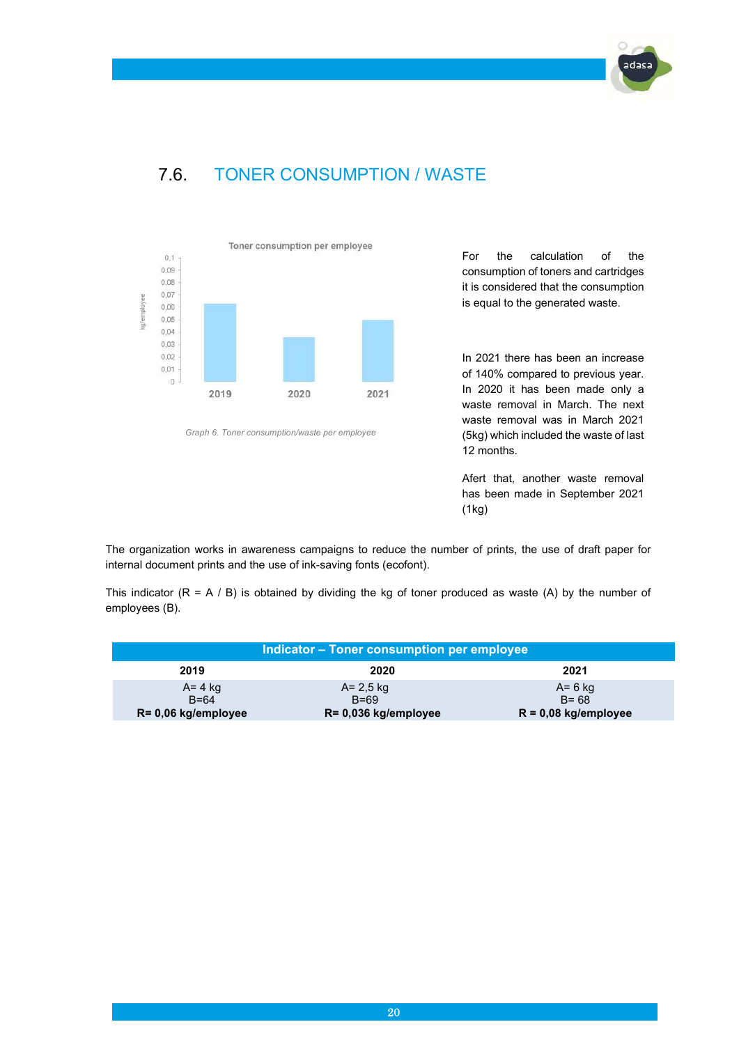

## 7.6. TONER CONSUMPTION / WASTE



Graph 6. Toner consumption/waste per employee

For the calculation of the consumption of toners and cartridges it is considered that the consumption is equal to the generated waste.

In 2021 there has been an increase of 140% compared to previous year. In 2020 it has been made only a waste removal in March. The next waste removal was in March 2021 (5kg) which included the waste of last 12 months.

Afert that, another waste removal has been made in September 2021 (1kg)

The organization works in awareness campaigns to reduce the number of prints, the use of draft paper for internal document prints and the use of ink-saving fonts (ecofont).

This indicator  $(R = A / B)$  is obtained by dividing the kg of toner produced as waste (A) by the number of employees (B).

| Indicator - Toner consumption per employee |                                   |                                    |  |  |
|--------------------------------------------|-----------------------------------|------------------------------------|--|--|
| 2019                                       | 2020                              | 2021                               |  |  |
| $A = 4$ kg                                 | $A = 2.5$ kg                      | $A = 6$ kg                         |  |  |
| $B=64$<br>$R = 0.06$ kg/employee           | $B=69$<br>$R = 0,036$ kg/employee | $B = 68$<br>$R = 0.08$ kg/employee |  |  |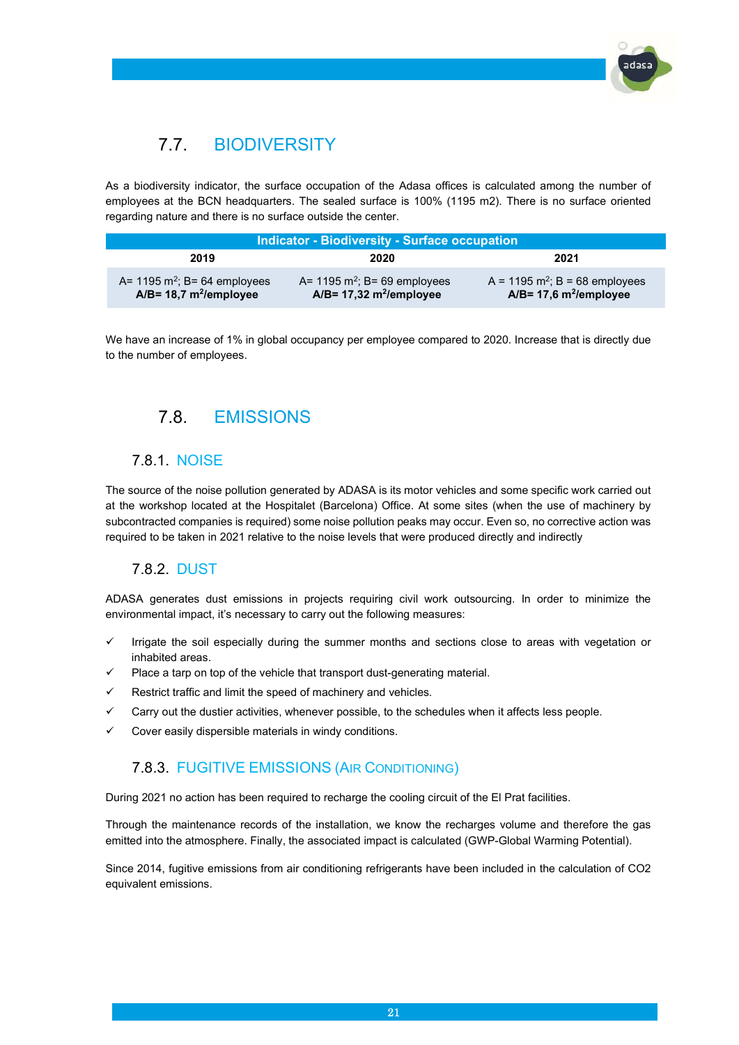

## 7.7. BIODIVERSITY

As a biodiversity indicator, the surface occupation of the Adasa offices is calculated among the number of employees at the BCN headquarters. The sealed surface is 100% (1195 m2). There is no surface oriented regarding nature and there is no surface outside the center.

| <b>Indicator - Biodiversity - Surface occupation</b>                                                                                                                                                                                             |  |  |  |  |
|--------------------------------------------------------------------------------------------------------------------------------------------------------------------------------------------------------------------------------------------------|--|--|--|--|
| 2019<br>2020<br>2021                                                                                                                                                                                                                             |  |  |  |  |
| $A = 1195$ m <sup>2</sup> ; B = 68 employees<br>A= $1195 \text{ m}^2$ ; B= 64 employees<br>A= $1195 \text{ m}^2$ ; B= 69 employees<br>$A/B = 17,32$ m <sup>2</sup> /employee<br>A/B= $17,6$ m <sup>2</sup> /employee<br>$A/B = 18.7 m2/employee$ |  |  |  |  |

We have an increase of 1% in global occupancy per employee compared to 2020. Increase that is directly due to the number of employees.

### 7.8. EMISSIONS

### 7.8.1. NOISE

The source of the noise pollution generated by ADASA is its motor vehicles and some specific work carried out at the workshop located at the Hospitalet (Barcelona) Office. At some sites (when the use of machinery by subcontracted companies is required) some noise pollution peaks may occur. Even so, no corrective action was required to be taken in 2021 relative to the noise levels that were produced directly and indirectly

### 7.8.2. DUST

ADASA generates dust emissions in projects requiring civil work outsourcing. In order to minimize the environmental impact, it's necessary to carry out the following measures:

- $\checkmark$  Irrigate the soil especially during the summer months and sections close to areas with vegetation or inhabited areas.
- Place a tarp on top of the vehicle that transport dust-generating material.
- $\checkmark$  Restrict traffic and limit the speed of machinery and vehicles.
- $\checkmark$  Carry out the dustier activities, whenever possible, to the schedules when it affects less people.
- $\checkmark$  Cover easily dispersible materials in windy conditions.

### 7.8.3. FUGITIVE EMISSIONS (AIR CONDITIONING)

During 2021 no action has been required to recharge the cooling circuit of the El Prat facilities.

Through the maintenance records of the installation, we know the recharges volume and therefore the gas emitted into the atmosphere. Finally, the associated impact is calculated (GWP-Global Warming Potential).

Since 2014, fugitive emissions from air conditioning refrigerants have been included in the calculation of CO2 equivalent emissions.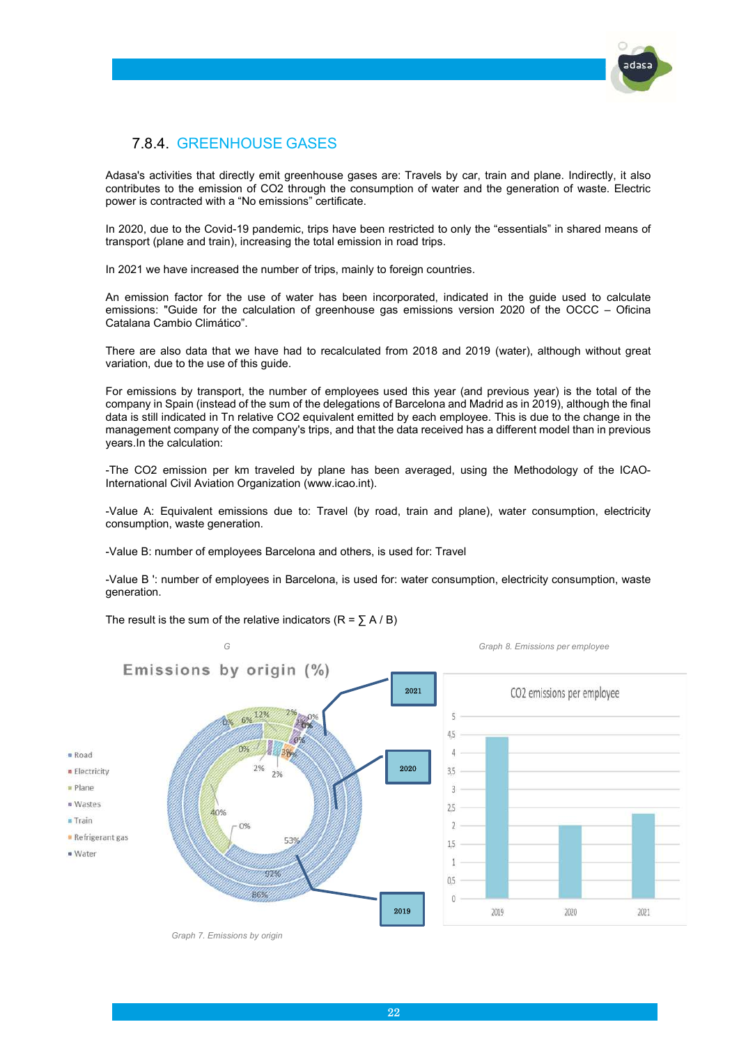

### 7.8.4. GREENHOUSE GASES

Adasa's activities that directly emit greenhouse gases are: Travels by car, train and plane. Indirectly, it also contributes to the emission of CO2 through the consumption of water and the generation of waste. Electric power is contracted with a "No emissions" certificate.

In 2020, due to the Covid-19 pandemic, trips have been restricted to only the "essentials" in shared means of transport (plane and train), increasing the total emission in road trips.

In 2021 we have increased the number of trips, mainly to foreign countries.

An emission factor for the use of water has been incorporated, indicated in the guide used to calculate emissions: "Guide for the calculation of greenhouse gas emissions version 2020 of the OCCC – Oficina Catalana Cambio Climático".

There are also data that we have had to recalculated from 2018 and 2019 (water), although without great variation, due to the use of this guide.

For emissions by transport, the number of employees used this year (and previous year) is the total of the company in Spain (instead of the sum of the delegations of Barcelona and Madrid as in 2019), although the final data is still indicated in Tn relative CO2 equivalent emitted by each employee. This is due to the change in the management company of the company's trips, and that the data received has a different model than in previous years.In the calculation:

-The CO2 emission per km traveled by plane has been averaged, using the Methodology of the ICAO-International Civil Aviation Organization (www.icao.int).

-Value A: Equivalent emissions due to: Travel (by road, train and plane), water consumption, electricity consumption, waste generation.

-Value B: number of employees Barcelona and others, is used for: Travel

-Value B ': number of employees in Barcelona, is used for: water consumption, electricity consumption, waste generation.

The result is the sum of the relative indicators  $(R = \sum A / B)$ 

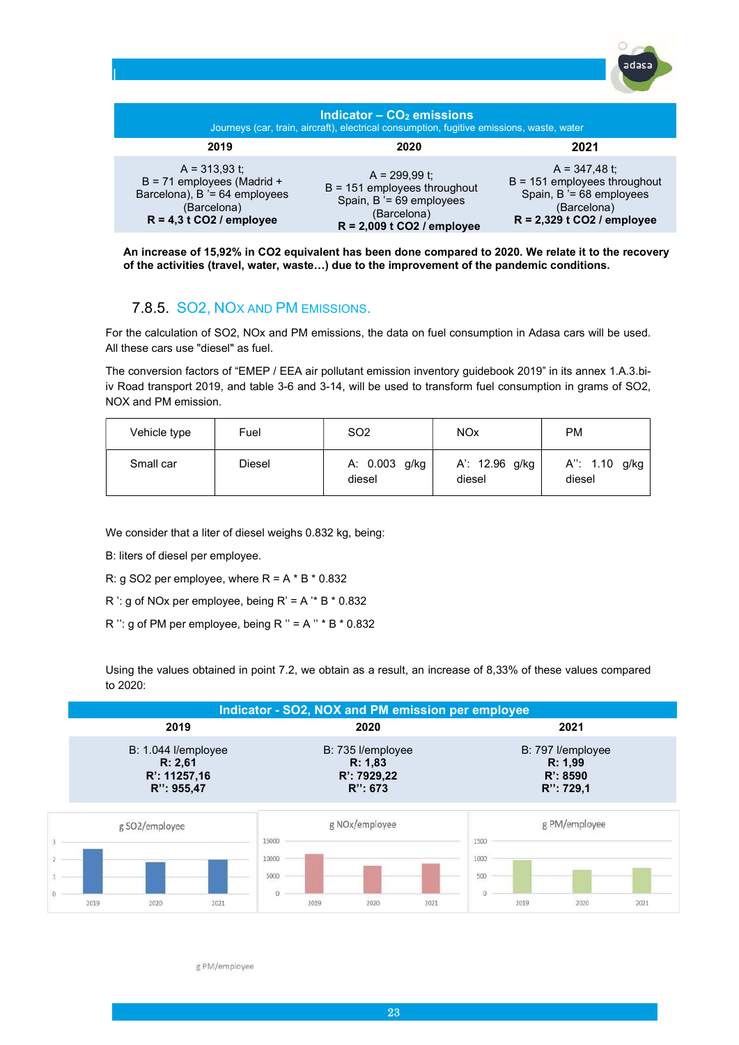|                                                                                                                                |                                                                                                                                      | adasa                                                                                                                          |
|--------------------------------------------------------------------------------------------------------------------------------|--------------------------------------------------------------------------------------------------------------------------------------|--------------------------------------------------------------------------------------------------------------------------------|
|                                                                                                                                | Indicator $-$ CO <sub>2</sub> emissions<br>Journeys (car, train, aircraft), electrical consumption, fugitive emissions, waste, water |                                                                                                                                |
| 2019                                                                                                                           | 2020                                                                                                                                 | 2021                                                                                                                           |
| $A = 313.93 t$ ;<br>$B = 71$ employees (Madrid +<br>Barcelona), B '= 64 employees<br>(Barcelona)<br>$R = 4.3$ t CO2 / employee | $A = 299.99 t$<br>$B = 151$ employees throughout<br>Spain, B'= 69 employees<br>(Barcelona)<br>$R = 2,009$ t CO2 / employee           | $A = 347.48$ t;<br>$B = 151$ employees throughout<br>Spain, $B' = 68$ employees<br>(Barcelona)<br>$R = 2,329$ t CO2 / employee |

An increase of 15,92% in CO2 equivalent has been done compared to 2020. We relate it to the recovery of the activities (travel, water, waste…) due to the improvement of the pandemic conditions.

#### 7.8.5. SO2, NOX AND PM EMISSIONS.

For the calculation of SO2, NOx and PM emissions, the data on fuel consumption in Adasa cars will be used. All these cars use "diesel" as fuel.

The conversion factors of "EMEP / EEA air pollutant emission inventory guidebook 2019" in its annex 1.A.3.biiv Road transport 2019, and table 3-6 and 3-14, will be used to transform fuel consumption in grams of SO2, NOX and PM emission.

| Vehicle type | Fuel          | SO <sub>2</sub>         | <b>NO<sub>x</sub></b>    | <b>PM</b>                  |
|--------------|---------------|-------------------------|--------------------------|----------------------------|
| Small car    | <b>Diesel</b> | A: 0.003 g/kg<br>diesel | A': 12.96 g/kg<br>diesel | A": 1.10<br>g/kg<br>diesel |

We consider that a liter of diesel weighs 0.832 kg, being:

B: liters of diesel per employee.

R: g SO2 per employee, where  $R = A * B * 0.832$ 

R ': g of NOx per employee, being  $R' = A' * B * 0.832$ 

R ": g of PM per employee, being R  $" = A " * B * 0.832$ 

Using the values obtained in point 7.2, we obtain as a result, an increase of 8,33% of these values compared to 2020:



g PM/employee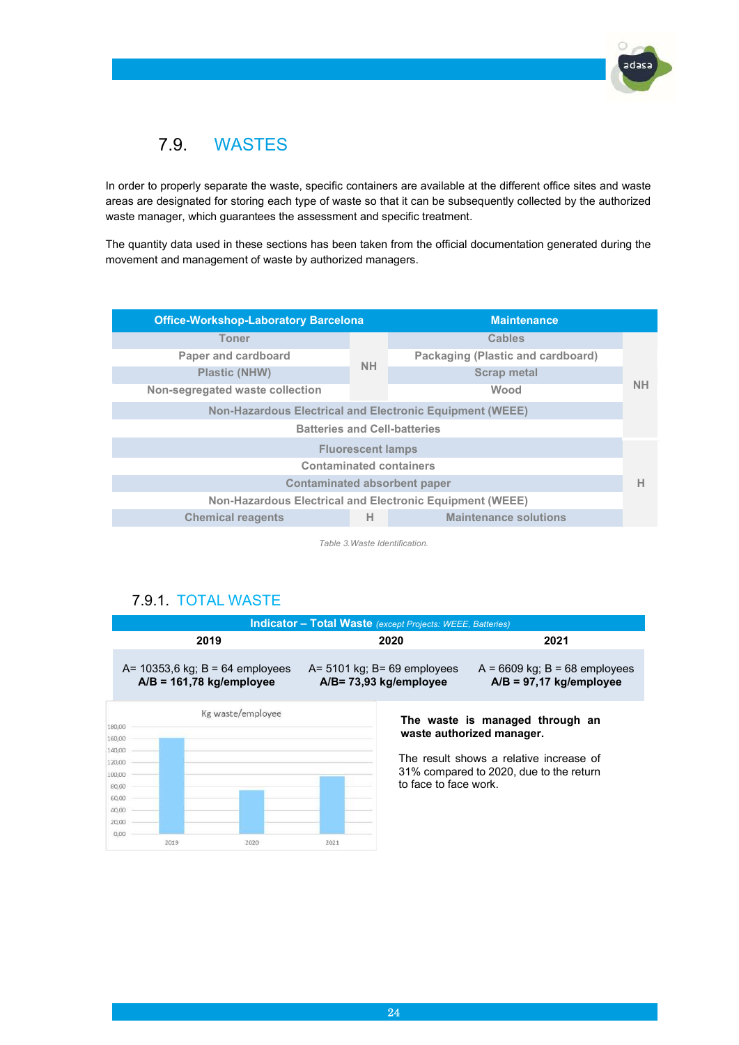

### 7.9. WASTES

In order to properly separate the waste, specific containers are available at the different office sites and waste areas are designated for storing each type of waste so that it can be subsequently collected by the authorized waste manager, which guarantees the assessment and specific treatment.

The quantity data used in these sections has been taken from the official documentation generated during the movement and management of waste by authorized managers.

Table 3.Waste Identification.

### 7.9.1. TOTAL WASTE

|                                                                           |                                                                  |                   |      | <b>Indicator - Total Waste</b> (except Projects: WEEE, Batteries) |                                                                                                                                                    |
|---------------------------------------------------------------------------|------------------------------------------------------------------|-------------------|------|-------------------------------------------------------------------|----------------------------------------------------------------------------------------------------------------------------------------------------|
|                                                                           | 2019                                                             |                   |      | 2020                                                              | 2021                                                                                                                                               |
|                                                                           | $A = 10353.6$ kg; B = 64 employees<br>$A/B = 161,78$ kg/employee |                   |      | $A = 5101$ kg; $B = 69$ employees<br>A/B= 73,93 kg/employee       | $A = 6609$ kg; B = 68 employees<br>$A/B = 97,17$ kg/employee                                                                                       |
| 180,00<br>160,00<br>140.00<br>120,00<br>100,00<br>80,00<br>60,00<br>40,00 |                                                                  | Kg waste/employee |      | to face to face work.                                             | The waste is managed through an<br>waste authorized manager.<br>The result shows a relative increase of<br>31% compared to 2020, due to the return |
| 20.00<br>0.00                                                             | 2019                                                             | 2020              | 2021 |                                                                   |                                                                                                                                                    |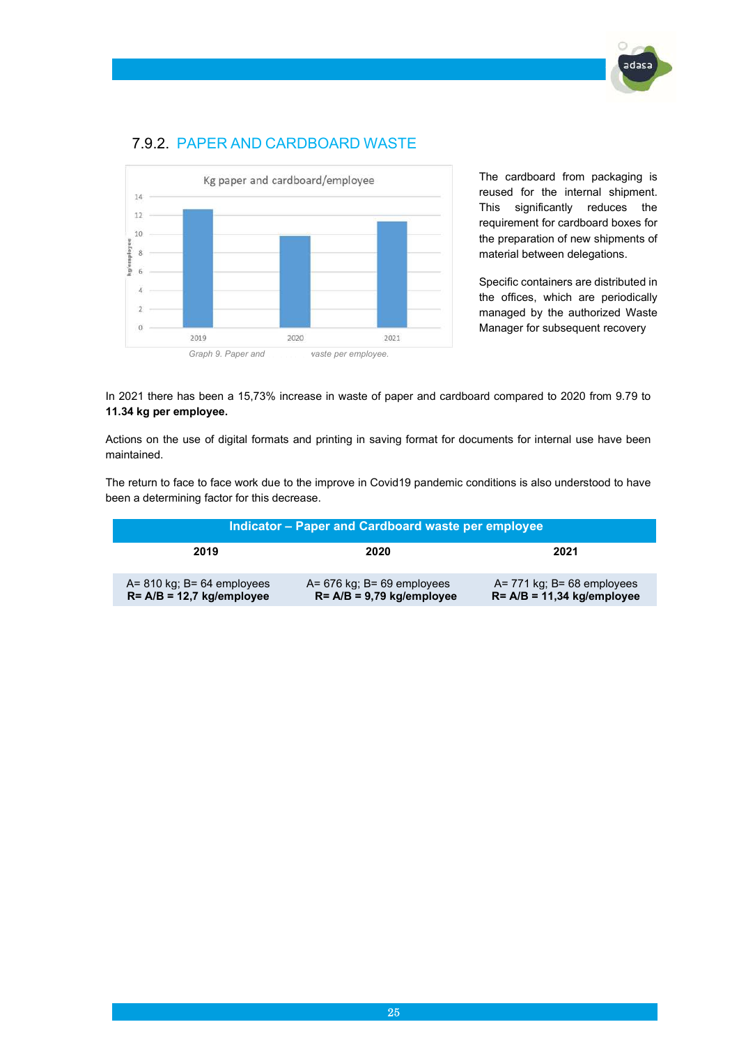



### 7.9.2. PAPER AND CARDBOARD WASTE

The cardboard from packaging is reused for the internal shipment. This significantly reduces the requirement for cardboard boxes for the preparation of new shipments of material between delegations.

Specific containers are distributed in the offices, which are periodically managed by the authorized Waste Manager for subsequent recovery

In 2021 there has been a 15,73% increase in waste of paper and cardboard compared to 2020 from 9.79 to 11.34 kg per employee.

Actions on the use of digital formats and printing in saving format for documents for internal use have been maintained.

The return to face to face work due to the improve in Covid19 pandemic conditions is also understood to have been a determining factor for this decrease.

| Indicator – Paper and Cardboard waste per employee            |                                                               |                                                                |  |  |
|---------------------------------------------------------------|---------------------------------------------------------------|----------------------------------------------------------------|--|--|
| 2019<br>2021<br>2020                                          |                                                               |                                                                |  |  |
| $A = 810$ kg; B= 64 employees<br>$R = A/B = 12,7$ kg/employee | $A = 676$ kg; B= 69 employees<br>$R = A/B = 9,79$ kg/employee | $A = 771$ kg; B= 68 employees<br>$R = A/B = 11,34$ kg/employee |  |  |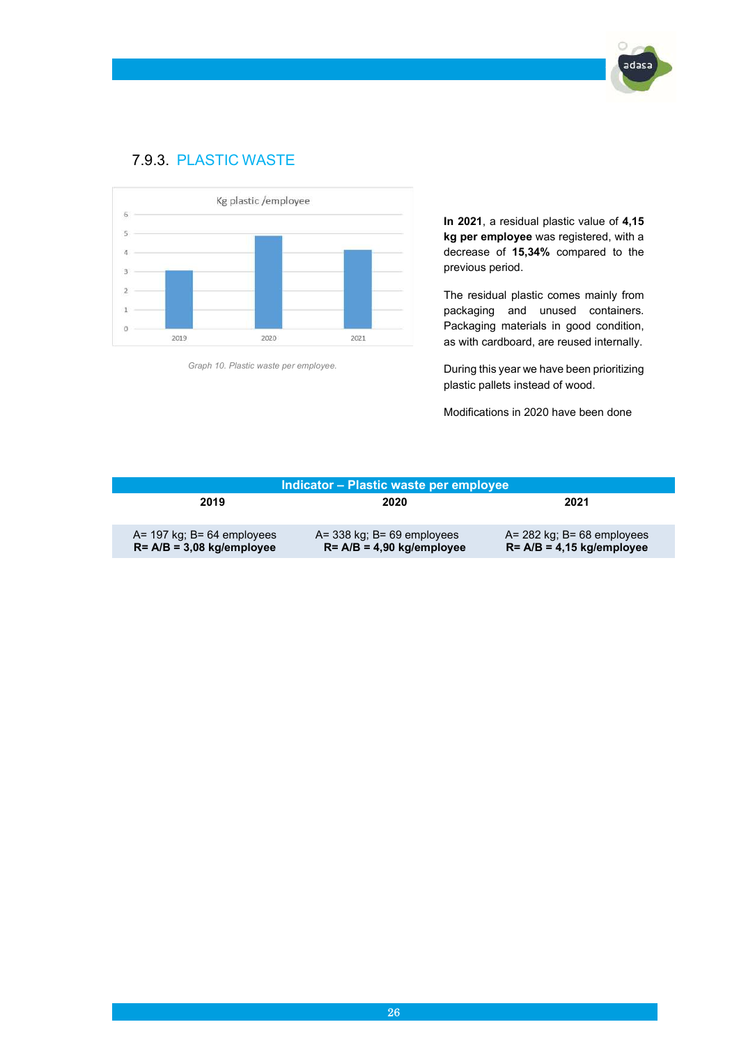

### 7.9.3. PLASTIC WASTE



Graph 10. Plastic waste per employee.

In 2021, a residual plastic value of 4,15 kg per employee was registered, with a decrease of 15,34% compared to the previous period.

The residual plastic comes mainly from packaging and unused containers. Packaging materials in good condition, as with cardboard, are reused internally.

During this year we have been prioritizing plastic pallets instead of wood.

Modifications in 2020 have been done

| Indicator – Plastic waste per employee                           |                                                                  |                                                                  |  |  |
|------------------------------------------------------------------|------------------------------------------------------------------|------------------------------------------------------------------|--|--|
| 2021<br>2019<br>2020                                             |                                                                  |                                                                  |  |  |
|                                                                  |                                                                  |                                                                  |  |  |
| $A = 197$ kg; $B = 64$ employees<br>$R = A/B = 3,08$ kg/employee | $A = 338$ kg; $B = 69$ employees<br>$R = A/B = 4,90$ kg/employee | $A = 282$ kg; $B = 68$ employees<br>$R = A/B = 4,15$ kg/employee |  |  |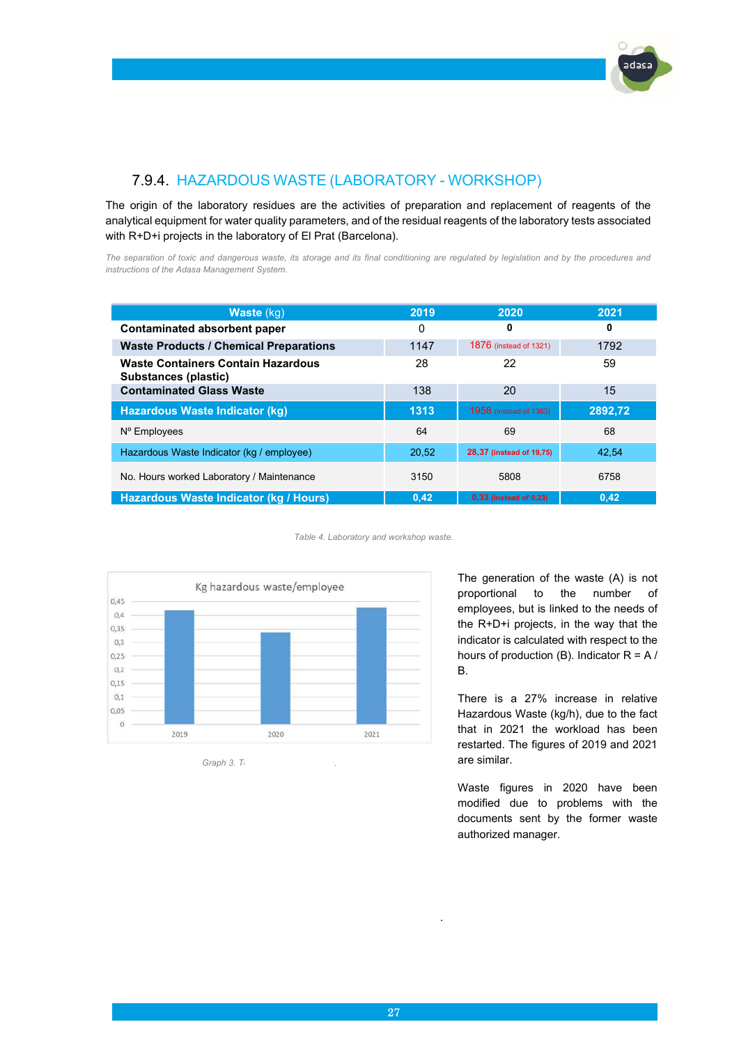

### 7.9.4. HAZARDOUS WASTE (LABORATORY - WORKSHOP)

The origin of the laboratory residues are the activities of preparation and replacement of reagents of the analytical equipment for water quality parameters, and of the residual reagents of the laboratory tests associated with R+D+i projects in the laboratory of El Prat (Barcelona).

The separation of toxic and dangerous waste, its storage and its final conditioning are regulated by legislation and by the procedures and instructions of the Adasa Management System.

| <b>Waste</b> (kg)                                                 | 2019  | 2020                          | 2021    |
|-------------------------------------------------------------------|-------|-------------------------------|---------|
| <b>Contaminated absorbent paper</b>                               | 0     | 0                             | 0       |
| <b>Waste Products / Chemical Preparations</b>                     | 1147  | 1876 (instead of 1321)        | 1792    |
| <b>Waste Containers Contain Hazardous</b><br>Substances (plastic) | 28    | 22                            | 59      |
| <b>Contaminated Glass Waste</b>                                   | 138   | 20                            | 15      |
|                                                                   |       |                               |         |
| Hazardous Waste Indicator (kg)                                    | 1313  | <b>1958</b> (instead of 1363) | 2892.72 |
| Nº Employees                                                      | 64    | 69                            | 68      |
| Hazardous Waste Indicator (kg / employee)                         | 20.52 | 28,37 (instead of 19,75)      | 42.54   |
| No. Hours worked Laboratory / Maintenance                         | 3150  | 5808                          | 6758    |

Table 4. Laboratory and workshop waste.



Graph 3. To

The generation of the waste (A) is not proportional to the number of employees, but is linked to the needs of the R+D+i projects, in the way that the indicator is calculated with respect to the hours of production (B). Indicator  $R = A / I$ B.

There is a 27% increase in relative Hazardous Waste (kg/h), due to the fact that in 2021 the workload has been restarted. The figures of 2019 and 2021 are similar.

Waste figures in 2020 have been modified due to problems with the documents sent by the former waste authorized manager.

.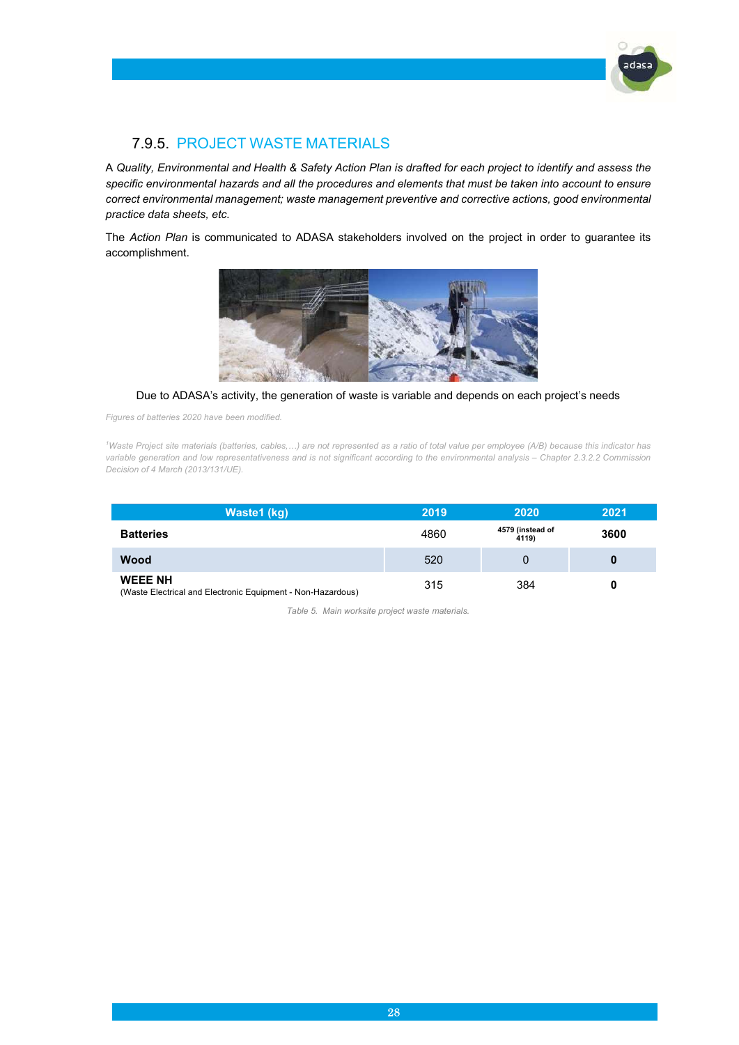

### 7.9.5. PROJECT WASTE MATERIALS

A Quality, Environmental and Health & Safety Action Plan is drafted for each project to identify and assess the specific environmental hazards and all the procedures and elements that must be taken into account to ensure correct environmental management; waste management preventive and corrective actions, good environmental practice data sheets, etc.

The Action Plan is communicated to ADASA stakeholders involved on the project in order to guarantee its accomplishment.



Due to ADASA's activity, the generation of waste is variable and depends on each project's needs

Figures of batteries 2020 have been modified.

<sup>1</sup>Waste Project site materials (batteries, cables,…) are not represented as a ratio of total value per employee (A/B) because this indicator has variable generation and low representativeness and is not significant according to the environmental analysis – Chapter 2.3.2.2 Commission Decision of 4 March (2013/131/UE).

| Waste1 (kg)                                                                   | 2019 | 2020                      | 2021 |
|-------------------------------------------------------------------------------|------|---------------------------|------|
| <b>Batteries</b>                                                              | 4860 | 4579 (instead of<br>4119) | 3600 |
| Wood                                                                          | 520  | 0                         | O    |
| <b>WEEE NH</b><br>(Waste Electrical and Electronic Equipment - Non-Hazardous) | 315  | 384                       |      |

Table 5. Main worksite project waste materials.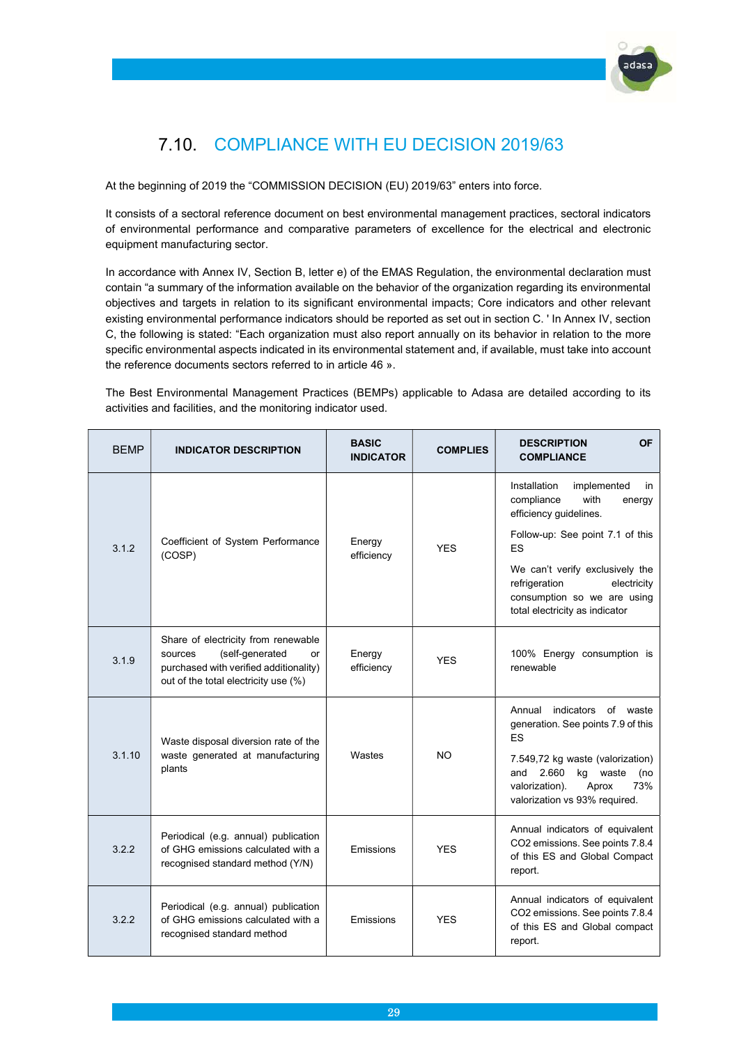

## 7.10. COMPLIANCE WITH EU DECISION 2019/63

At the beginning of 2019 the "COMMISSION DECISION (EU) 2019/63" enters into force.

It consists of a sectoral reference document on best environmental management practices, sectoral indicators of environmental performance and comparative parameters of excellence for the electrical and electronic equipment manufacturing sector.

In accordance with Annex IV, Section B, letter e) of the EMAS Regulation, the environmental declaration must contain "a summary of the information available on the behavior of the organization regarding its environmental objectives and targets in relation to its significant environmental impacts; Core indicators and other relevant existing environmental performance indicators should be reported as set out in section C. ' In Annex IV, section C, the following is stated: "Each organization must also report annually on its behavior in relation to the more specific environmental aspects indicated in its environmental statement and, if available, must take into account the reference documents sectors referred to in article 46 ».

The Best Environmental Management Practices (BEMPs) applicable to Adasa are detailed according to its activities and facilities, and the monitoring indicator used.

| <b>BEMP</b> | <b>INDICATOR DESCRIPTION</b>                                                                                                                              | <b>BASIC</b><br><b>INDICATOR</b> | <b>COMPLIES</b> | <b>OF</b><br><b>DESCRIPTION</b><br><b>COMPLIANCE</b>                                                                                                                                                                                                                             |
|-------------|-----------------------------------------------------------------------------------------------------------------------------------------------------------|----------------------------------|-----------------|----------------------------------------------------------------------------------------------------------------------------------------------------------------------------------------------------------------------------------------------------------------------------------|
| 3.1.2       | Coefficient of System Performance<br>(COSP)                                                                                                               | Energy<br>efficiency             | <b>YES</b>      | implemented<br>Installation<br>in<br>compliance<br>with<br>energy<br>efficiency guidelines.<br>Follow-up: See point 7.1 of this<br><b>ES</b><br>We can't verify exclusively the<br>refrigeration<br>electricity<br>consumption so we are using<br>total electricity as indicator |
| 3.1.9       | Share of electricity from renewable<br>(self-generated<br>sources<br>or<br>purchased with verified additionality)<br>out of the total electricity use (%) | Energy<br>efficiency             | <b>YFS</b>      | 100% Energy consumption is<br>renewable                                                                                                                                                                                                                                          |
| 3.1.10      | Waste disposal diversion rate of the<br>waste generated at manufacturing<br>plants                                                                        | Wastes                           | NO.             | Annual<br>indicators of waste<br>generation. See points 7.9 of this<br><b>ES</b><br>7.549,72 kg waste (valorization)<br>2.660<br>kg waste<br>and<br>(no<br>Aprox<br>73%<br>valorization).<br>valorization vs 93% required.                                                       |
| 3.2.2       | Periodical (e.g. annual) publication<br>of GHG emissions calculated with a<br>recognised standard method (Y/N)                                            | Emissions                        | <b>YFS</b>      | Annual indicators of equivalent<br>CO2 emissions. See points 7.8.4<br>of this ES and Global Compact<br>report.                                                                                                                                                                   |
| 3.2.2       | Periodical (e.g. annual) publication<br>of GHG emissions calculated with a<br>recognised standard method                                                  | Emissions                        | <b>YES</b>      | Annual indicators of equivalent<br>CO2 emissions. See points 7.8.4<br>of this ES and Global compact<br>report.                                                                                                                                                                   |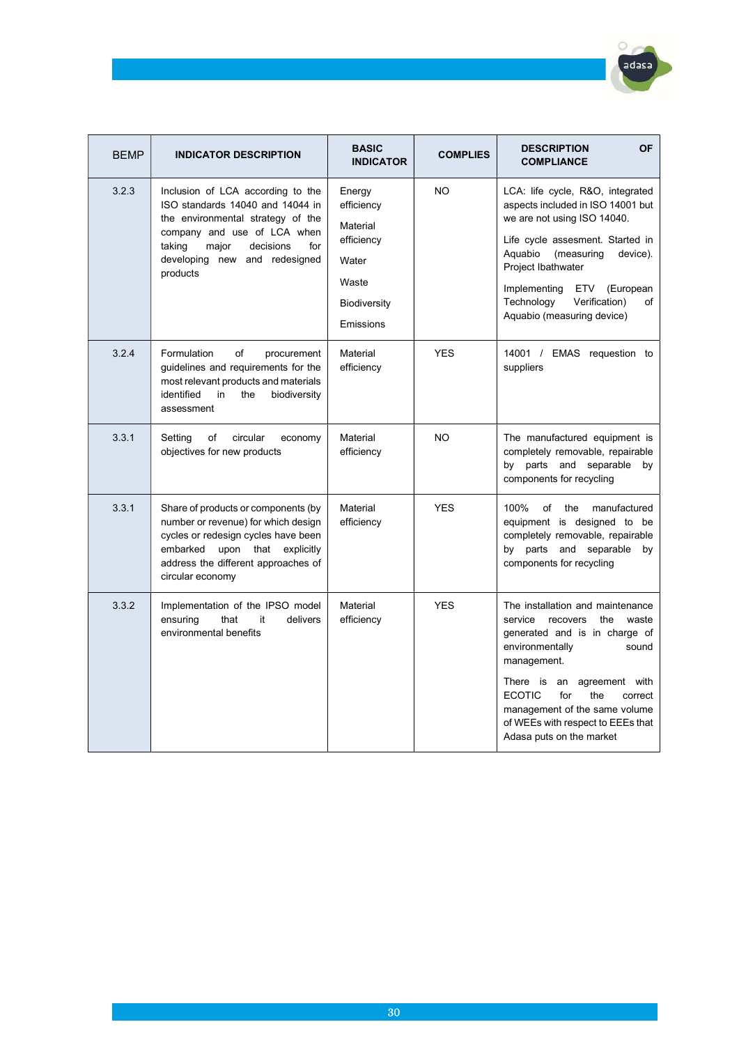| <b>BEMP</b> | <b>INDICATOR DESCRIPTION</b>                                                                                                                                                                                                  | <b>BASIC</b><br><b>INDICATOR</b>                                                                     | <b>COMPLIES</b> | <b>OF</b><br><b>DESCRIPTION</b><br><b>COMPLIANCE</b>                                                                                                                                                                                                                                                                          |
|-------------|-------------------------------------------------------------------------------------------------------------------------------------------------------------------------------------------------------------------------------|------------------------------------------------------------------------------------------------------|-----------------|-------------------------------------------------------------------------------------------------------------------------------------------------------------------------------------------------------------------------------------------------------------------------------------------------------------------------------|
| 3.2.3       | Inclusion of LCA according to the<br>ISO standards 14040 and 14044 in<br>the environmental strategy of the<br>company and use of LCA when<br>major<br>taking<br>decisions<br>for<br>developing new and redesigned<br>products | Energy<br>efficiency<br>Material<br>efficiency<br>Water<br>Waste<br><b>Biodiversity</b><br>Emissions | <b>NO</b>       | LCA: life cycle, R&O, integrated<br>aspects included in ISO 14001 but<br>we are not using ISO 14040.<br>Life cycle assesment. Started in<br>Aquabio<br>(measuring<br>device).<br>Project Ibathwater<br>Implementing<br>(European<br>ETV<br>Technology<br>Verification)<br>of<br>Aquabio (measuring device)                    |
| 3.2.4       | Formulation<br>of<br>procurement<br>guidelines and requirements for the<br>most relevant products and materials<br>identified<br>in<br>biodiversity<br>the<br>assessment                                                      | Material<br>efficiency                                                                               | <b>YES</b>      | 14001 / EMAS requestion to<br>suppliers                                                                                                                                                                                                                                                                                       |
| 3.3.1       | Setting<br>of<br>circular<br>economy<br>objectives for new products                                                                                                                                                           | Material<br>efficiency                                                                               | <b>NO</b>       | The manufactured equipment is<br>completely removable, repairable<br>by parts and separable<br>by<br>components for recycling                                                                                                                                                                                                 |
| 3.3.1       | Share of products or components (by<br>number or revenue) for which design<br>cycles or redesign cycles have been<br>embarked<br>upon that<br>explicitly<br>address the different approaches of<br>circular economy           | Material<br>efficiency                                                                               | <b>YES</b>      | 100%<br>of<br>manufactured<br>the<br>equipment is designed to be<br>completely removable, repairable<br>by parts and separable<br>by<br>components for recycling                                                                                                                                                              |
| 3.3.2       | Implementation of the IPSO model<br>ensuring<br>that<br>it<br>delivers<br>environmental benefits                                                                                                                              | Material<br>efficiency                                                                               | <b>YES</b>      | The installation and maintenance<br>service<br>the<br>recovers<br>waste<br>generated and is in charge of<br>environmentally<br>sound<br>management.<br>There is an agreement with<br><b>ECOTIC</b><br>for<br>the<br>correct<br>management of the same volume<br>of WEEs with respect to EEEs that<br>Adasa puts on the market |

 $\bigcirc$ 

adasa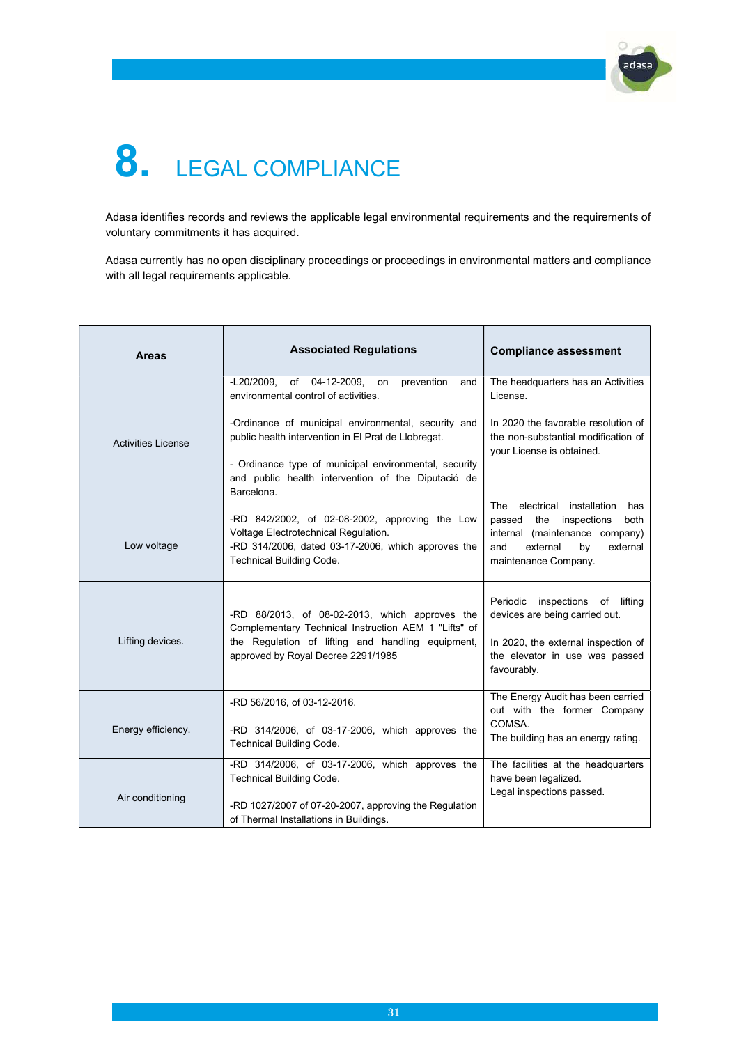

# 8. LEGAL COMPLIANCE

Adasa identifies records and reviews the applicable legal environmental requirements and the requirements of voluntary commitments it has acquired.

Adasa currently has no open disciplinary proceedings or proceedings in environmental matters and compliance with all legal requirements applicable.

| <b>Areas</b>              | <b>Associated Regulations</b>                                                                                                                                                                                                           | <b>Compliance assessment</b>                                                                                                                                                 |
|---------------------------|-----------------------------------------------------------------------------------------------------------------------------------------------------------------------------------------------------------------------------------------|------------------------------------------------------------------------------------------------------------------------------------------------------------------------------|
|                           | of 04-12-2009,<br>prevention<br>-L20/2009.<br>on<br>and<br>environmental control of activities.                                                                                                                                         | The headquarters has an Activities<br>License.                                                                                                                               |
| <b>Activities License</b> | -Ordinance of municipal environmental, security and<br>public health intervention in El Prat de Llobregat.<br>- Ordinance type of municipal environmental, security<br>and public health intervention of the Diputació de<br>Barcelona. | In 2020 the favorable resolution of<br>the non-substantial modification of<br>your License is obtained.                                                                      |
| Low voltage               | -RD 842/2002, of 02-08-2002, approving the Low<br>Voltage Electrotechnical Regulation.<br>-RD 314/2006, dated 03-17-2006, which approves the<br><b>Technical Building Code.</b>                                                         | electrical<br>installation<br>The<br>has<br>passed<br>the inspections<br>both<br>internal (maintenance company)<br>and<br>external<br>external<br>by<br>maintenance Company. |
| Lifting devices.          | -RD 88/2013, of 08-02-2013, which approves the<br>Complementary Technical Instruction AEM 1 "Lifts" of<br>the Regulation of lifting and handling equipment,<br>approved by Royal Decree 2291/1985                                       | Periodic inspections of lifting<br>devices are being carried out.<br>In 2020, the external inspection of<br>the elevator in use was passed<br>favourably.                    |
| Energy efficiency.        | -RD 56/2016, of 03-12-2016.<br>-RD 314/2006, of 03-17-2006, which approves the<br><b>Technical Building Code.</b>                                                                                                                       | The Energy Audit has been carried<br>out with the former Company<br>COMSA.<br>The building has an energy rating.                                                             |
| Air conditioning          | -RD 314/2006, of 03-17-2006, which approves the<br><b>Technical Building Code.</b><br>-RD 1027/2007 of 07-20-2007, approving the Regulation<br>of Thermal Installations in Buildings.                                                   | The facilities at the headquarters<br>have been legalized.<br>Legal inspections passed.                                                                                      |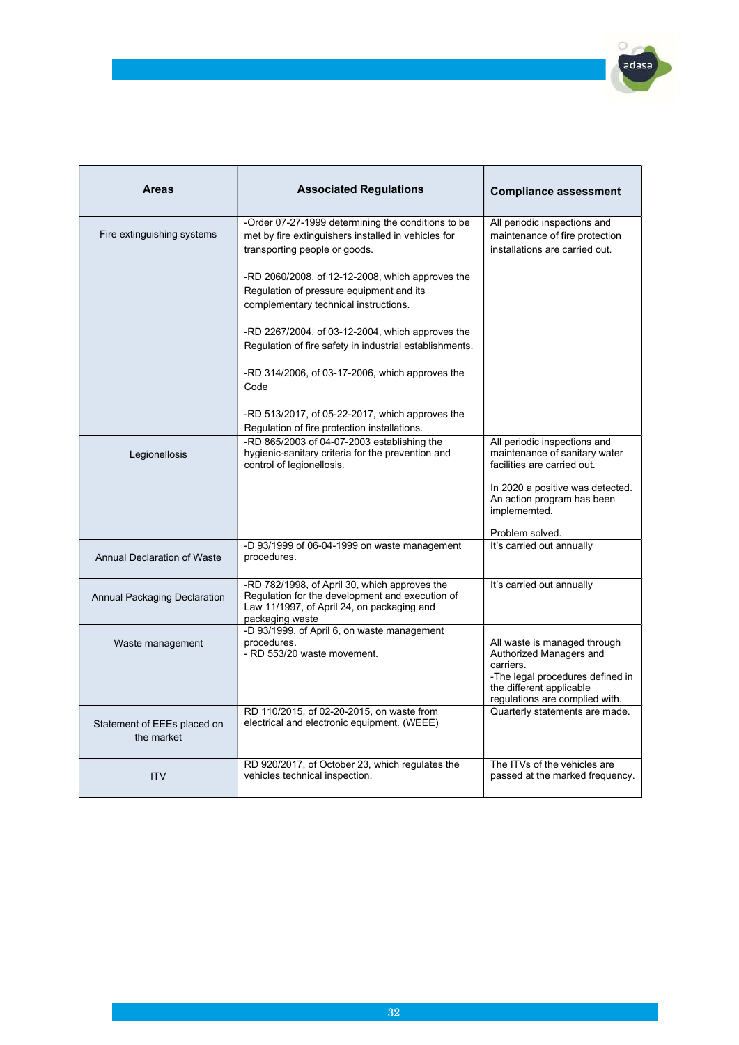

| <b>Areas</b>                              | <b>Associated Regulations</b>                                                                                                                                     | <b>Compliance assessment</b>                                                                                                                                          |
|-------------------------------------------|-------------------------------------------------------------------------------------------------------------------------------------------------------------------|-----------------------------------------------------------------------------------------------------------------------------------------------------------------------|
| Fire extinguishing systems                | -Order 07-27-1999 determining the conditions to be<br>met by fire extinguishers installed in vehicles for<br>transporting people or goods.                        | All periodic inspections and<br>maintenance of fire protection<br>installations are carried out.                                                                      |
|                                           | -RD 2060/2008, of 12-12-2008, which approves the<br>Regulation of pressure equipment and its<br>complementary technical instructions.                             |                                                                                                                                                                       |
|                                           | -RD 2267/2004, of 03-12-2004, which approves the<br>Regulation of fire safety in industrial establishments.                                                       |                                                                                                                                                                       |
|                                           | -RD 314/2006, of 03-17-2006, which approves the<br>Code                                                                                                           |                                                                                                                                                                       |
|                                           | -RD 513/2017, of 05-22-2017, which approves the<br>Regulation of fire protection installations.                                                                   |                                                                                                                                                                       |
| Legionellosis                             | -RD 865/2003 of 04-07-2003 establishing the<br>hygienic-sanitary criteria for the prevention and<br>control of legionellosis.                                     | All periodic inspections and<br>maintenance of sanitary water<br>facilities are carried out.                                                                          |
|                                           |                                                                                                                                                                   | In 2020 a positive was detected.<br>An action program has been<br>implememted.                                                                                        |
|                                           |                                                                                                                                                                   | Problem solved.                                                                                                                                                       |
| Annual Declaration of Waste               | -D 93/1999 of 06-04-1999 on waste management<br>procedures.                                                                                                       | It's carried out annually                                                                                                                                             |
| Annual Packaging Declaration              | -RD 782/1998, of April 30, which approves the<br>Regulation for the development and execution of<br>Law 11/1997, of April 24, on packaging and<br>packaging waste | It's carried out annually                                                                                                                                             |
| Waste management                          | -D 93/1999, of April 6, on waste management<br>procedures.<br>- RD 553/20 waste movement.                                                                         | All waste is managed through<br>Authorized Managers and<br>carriers<br>-The legal procedures defined in<br>the different applicable<br>regulations are complied with. |
| Statement of EEEs placed on<br>the market | RD 110/2015, of 02-20-2015, on waste from<br>electrical and electronic equipment. (WEEE)                                                                          | Quarterly statements are made.                                                                                                                                        |
| <b>ITV</b>                                | RD 920/2017, of October 23, which regulates the<br>vehicles technical inspection.                                                                                 | The ITVs of the vehicles are<br>passed at the marked frequency.                                                                                                       |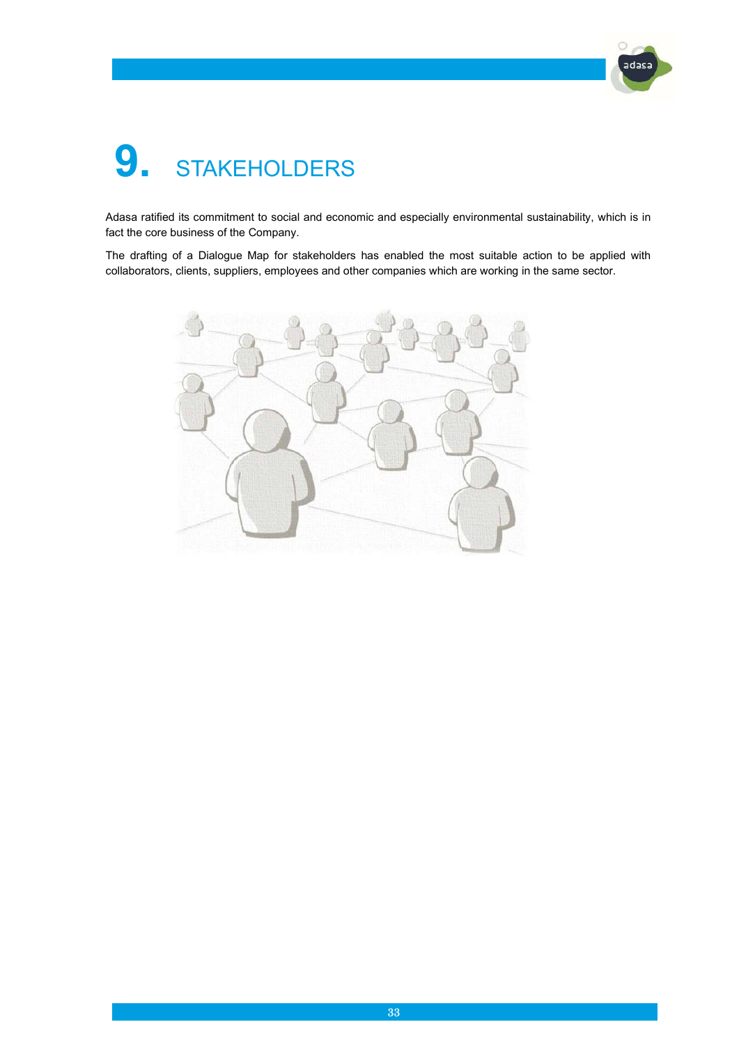# **9.** STAKEHOLDERS

Adasa ratified its commitment to social and economic and especially environmental sustainability, which is in fact the core business of the Company.

adasa

The drafting of a Dialogue Map for stakeholders has enabled the most suitable action to be applied with collaborators, clients, suppliers, employees and other companies which are working in the same sector.

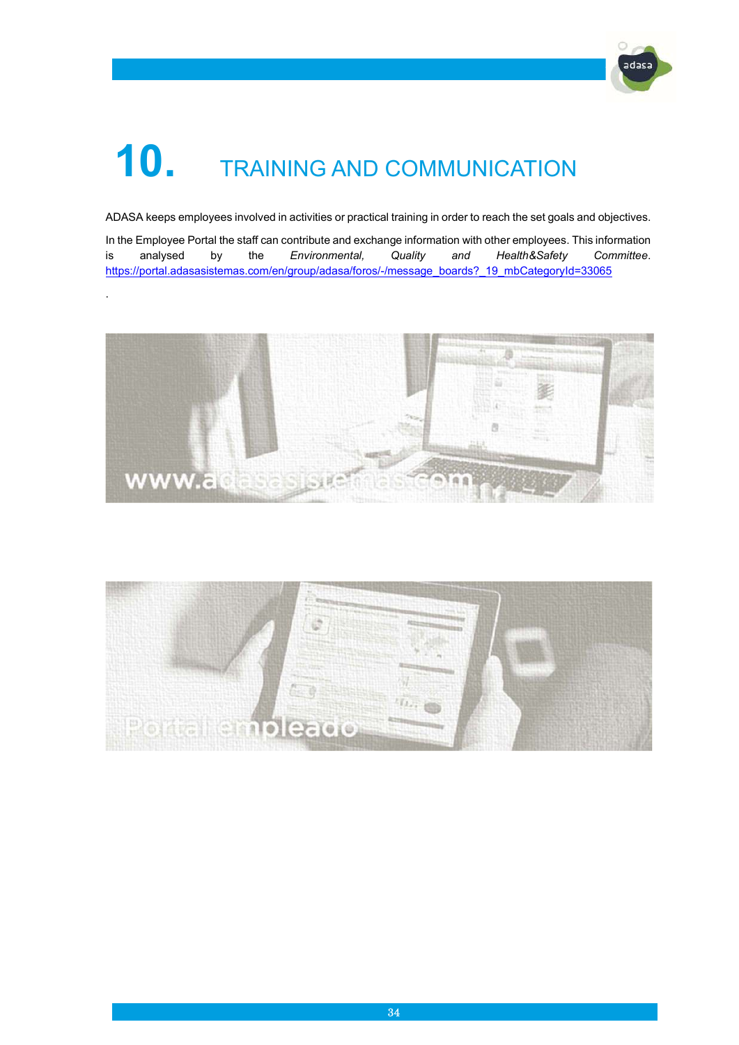

# 10. TRAINING AND COMMUNICATION

.

ADASA keeps employees involved in activities or practical training in order to reach the set goals and objectives.

In the Employee Portal the staff can contribute and exchange information with other employees. This information is analysed by the Environmental, Quality and Health&Safety Committee. https://portal.adasasistemas.com/en/group/adasa/foros/-/message\_boards?\_19\_mbCategoryId=33065